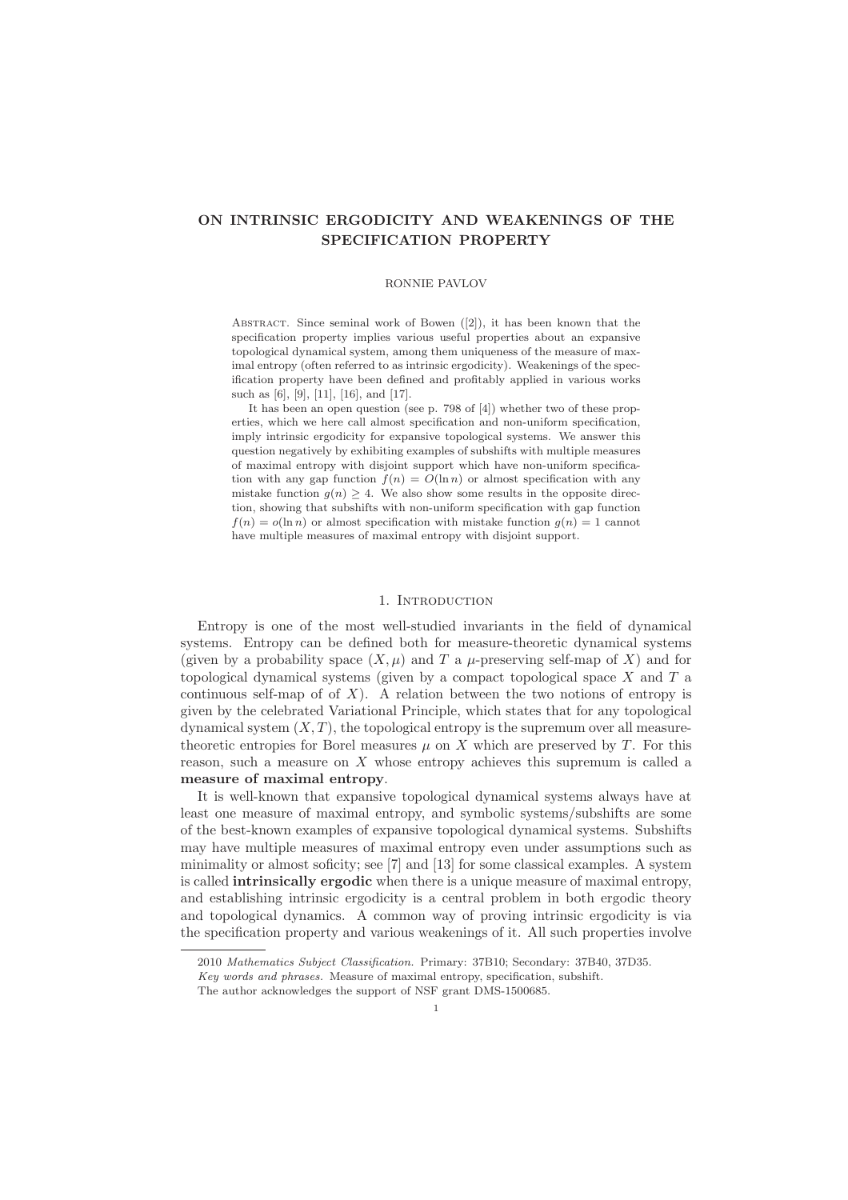# ON INTRINSIC ERGODICITY AND WEAKENINGS OF THE SPECIFICATION PROPERTY

#### RONNIE PAVLOV

Abstract. Since seminal work of Bowen ([2]), it has been known that the specification property implies various useful properties about an expansive topological dynamical system, among them uniqueness of the measure of maximal entropy (often referred to as intrinsic ergodicity). Weakenings of the specification property have been defined and profitably applied in various works such as [6], [9], [11], [16], and [17].

It has been an open question (see p. 798 of [4]) whether two of these properties, which we here call almost specification and non-uniform specification, imply intrinsic ergodicity for expansive topological systems. We answer this question negatively by exhibiting examples of subshifts with multiple measures of maximal entropy with disjoint support which have non-uniform specification with any gap function  $f(n) = O(\ln n)$  or almost specification with any mistake function  $g(n) \geq 4$ . We also show some results in the opposite direction, showing that subshifts with non-uniform specification with gap function  $f(n) = o(\ln n)$  or almost specification with mistake function  $g(n) = 1$  cannot have multiple measures of maximal entropy with disjoint support.

## 1. INTRODUCTION

Entropy is one of the most well-studied invariants in the field of dynamical systems. Entropy can be defined both for measure-theoretic dynamical systems (given by a probability space  $(X, \mu)$  and T a  $\mu$ -preserving self-map of X) and for topological dynamical systems (given by a compact topological space  $X$  and  $T$  a continuous self-map of of  $X$ ). A relation between the two notions of entropy is given by the celebrated Variational Principle, which states that for any topological dynamical system  $(X, T)$ , the topological entropy is the supremum over all measuretheoretic entropies for Borel measures  $\mu$  on  $X$  which are preserved by  $T$ . For this reason, such a measure on X whose entropy achieves this supremum is called a measure of maximal entropy.

It is well-known that expansive topological dynamical systems always have at least one measure of maximal entropy, and symbolic systems/subshifts are some of the best-known examples of expansive topological dynamical systems. Subshifts may have multiple measures of maximal entropy even under assumptions such as minimality or almost soficity; see [7] and [13] for some classical examples. A system is called intrinsically ergodic when there is a unique measure of maximal entropy, and establishing intrinsic ergodicity is a central problem in both ergodic theory and topological dynamics. A common way of proving intrinsic ergodicity is via the specification property and various weakenings of it. All such properties involve

<sup>2010</sup> Mathematics Subject Classification. Primary: 37B10; Secondary: 37B40, 37D35.

Key words and phrases. Measure of maximal entropy, specification, subshift.

The author acknowledges the support of NSF grant DMS-1500685.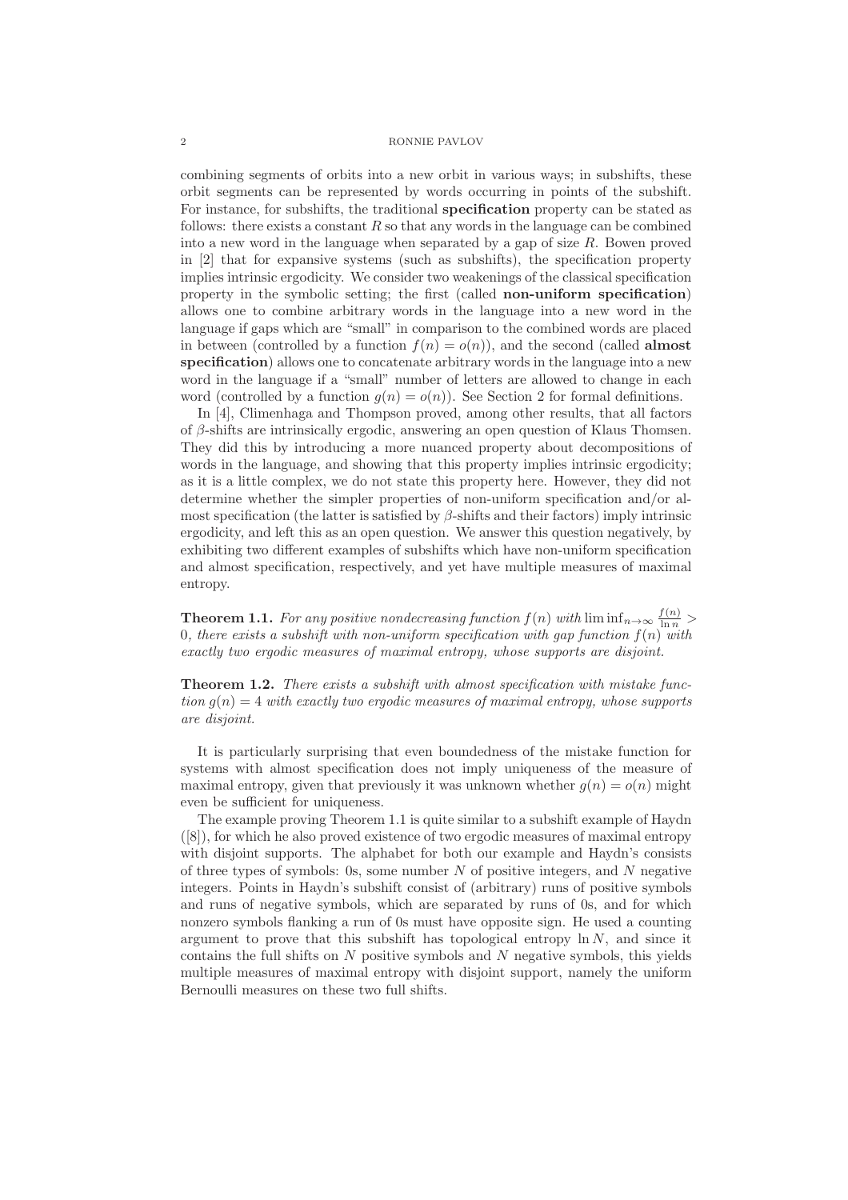### 2 RONNIE PAVLOV

combining segments of orbits into a new orbit in various ways; in subshifts, these orbit segments can be represented by words occurring in points of the subshift. For instance, for subshifts, the traditional specification property can be stated as follows: there exists a constant  $R$  so that any words in the language can be combined into a new word in the language when separated by a gap of size R. Bowen proved in [2] that for expansive systems (such as subshifts), the specification property implies intrinsic ergodicity. We consider two weakenings of the classical specification property in the symbolic setting; the first (called non-uniform specification) allows one to combine arbitrary words in the language into a new word in the language if gaps which are "small" in comparison to the combined words are placed in between (controlled by a function  $f(n) = o(n)$ ), and the second (called **almost**) specification) allows one to concatenate arbitrary words in the language into a new word in the language if a "small" number of letters are allowed to change in each word (controlled by a function  $q(n) = o(n)$ ). See Section 2 for formal definitions.

In [4], Climenhaga and Thompson proved, among other results, that all factors of β-shifts are intrinsically ergodic, answering an open question of Klaus Thomsen. They did this by introducing a more nuanced property about decompositions of words in the language, and showing that this property implies intrinsic ergodicity; as it is a little complex, we do not state this property here. However, they did not determine whether the simpler properties of non-uniform specification and/or almost specification (the latter is satisfied by  $\beta$ -shifts and their factors) imply intrinsic ergodicity, and left this as an open question. We answer this question negatively, by exhibiting two different examples of subshifts which have non-uniform specification and almost specification, respectively, and yet have multiple measures of maximal entropy.

**Theorem 1.1.** For any positive nondecreasing function  $f(n)$  with  $\liminf_{n\to\infty} \frac{f(n)}{\ln n}$ 0, there exists a subshift with non-uniform specification with gap function  $f(n)$  with exactly two ergodic measures of maximal entropy, whose supports are disjoint.

Theorem 1.2. There exists a subshift with almost specification with mistake function  $g(n) = 4$  with exactly two ergodic measures of maximal entropy, whose supports are disjoint.

It is particularly surprising that even boundedness of the mistake function for systems with almost specification does not imply uniqueness of the measure of maximal entropy, given that previously it was unknown whether  $g(n) = o(n)$  might even be sufficient for uniqueness.

The example proving Theorem 1.1 is quite similar to a subshift example of Haydn ([8]), for which he also proved existence of two ergodic measures of maximal entropy with disjoint supports. The alphabet for both our example and Haydn's consists of three types of symbols: 0s, some number  $N$  of positive integers, and  $N$  negative integers. Points in Haydn's subshift consist of (arbitrary) runs of positive symbols and runs of negative symbols, which are separated by runs of 0s, and for which nonzero symbols flanking a run of 0s must have opposite sign. He used a counting argument to prove that this subshift has topological entropy  $\ln N$ , and since it contains the full shifts on  $N$  positive symbols and  $N$  negative symbols, this yields multiple measures of maximal entropy with disjoint support, namely the uniform Bernoulli measures on these two full shifts.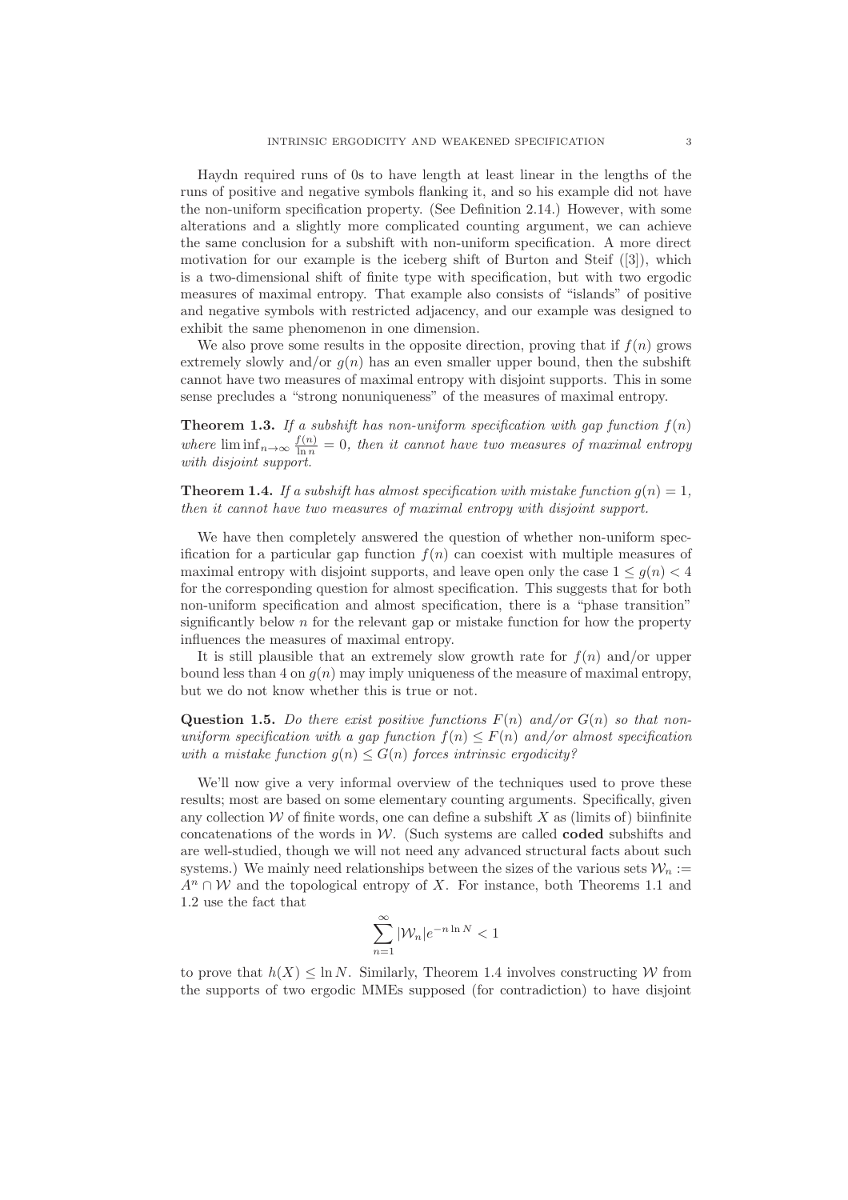Haydn required runs of 0s to have length at least linear in the lengths of the runs of positive and negative symbols flanking it, and so his example did not have the non-uniform specification property. (See Definition 2.14.) However, with some alterations and a slightly more complicated counting argument, we can achieve the same conclusion for a subshift with non-uniform specification. A more direct motivation for our example is the iceberg shift of Burton and Steif ([3]), which is a two-dimensional shift of finite type with specification, but with two ergodic measures of maximal entropy. That example also consists of "islands" of positive and negative symbols with restricted adjacency, and our example was designed to exhibit the same phenomenon in one dimension.

We also prove some results in the opposite direction, proving that if  $f(n)$  grows extremely slowly and/or  $q(n)$  has an even smaller upper bound, then the subshift cannot have two measures of maximal entropy with disjoint supports. This in some sense precludes a "strong nonuniqueness" of the measures of maximal entropy.

**Theorem 1.3.** If a subshift has non-uniform specification with gap function  $f(n)$ where  $\liminf_{n\to\infty}\frac{f(n)}{\ln n} = 0$ , then it cannot have two measures of maximal entropy with disjoint support.

**Theorem 1.4.** If a subshift has almost specification with mistake function  $g(n) = 1$ , then it cannot have two measures of maximal entropy with disjoint support.

We have then completely answered the question of whether non-uniform specification for a particular gap function  $f(n)$  can coexist with multiple measures of maximal entropy with disjoint supports, and leave open only the case  $1 \leq q(n) \leq 4$ for the corresponding question for almost specification. This suggests that for both non-uniform specification and almost specification, there is a "phase transition" significantly below  $n$  for the relevant gap or mistake function for how the property influences the measures of maximal entropy.

It is still plausible that an extremely slow growth rate for  $f(n)$  and/or upper bound less than 4 on  $g(n)$  may imply uniqueness of the measure of maximal entropy, but we do not know whether this is true or not.

**Question 1.5.** Do there exist positive functions  $F(n)$  and/or  $G(n)$  so that nonuniform specification with a gap function  $f(n) \leq F(n)$  and/or almost specification with a mistake function  $g(n) \leq G(n)$  forces intrinsic ergodicity?

We'll now give a very informal overview of the techniques used to prove these results; most are based on some elementary counting arguments. Specifically, given any collection  $W$  of finite words, one can define a subshift  $X$  as (limits of) biinfinite concatenations of the words in  $W$ . (Such systems are called **coded** subshifts and are well-studied, though we will not need any advanced structural facts about such systems.) We mainly need relationships between the sizes of the various sets  $\mathcal{W}_n :=$  $A^n \cap W$  and the topological entropy of X. For instance, both Theorems 1.1 and 1.2 use the fact that

$$
\sum_{n=1}^{\infty} |\mathcal{W}_n| e^{-n \ln N} < 1
$$

to prove that  $h(X) \leq \ln N$ . Similarly, Theorem 1.4 involves constructing W from the supports of two ergodic MMEs supposed (for contradiction) to have disjoint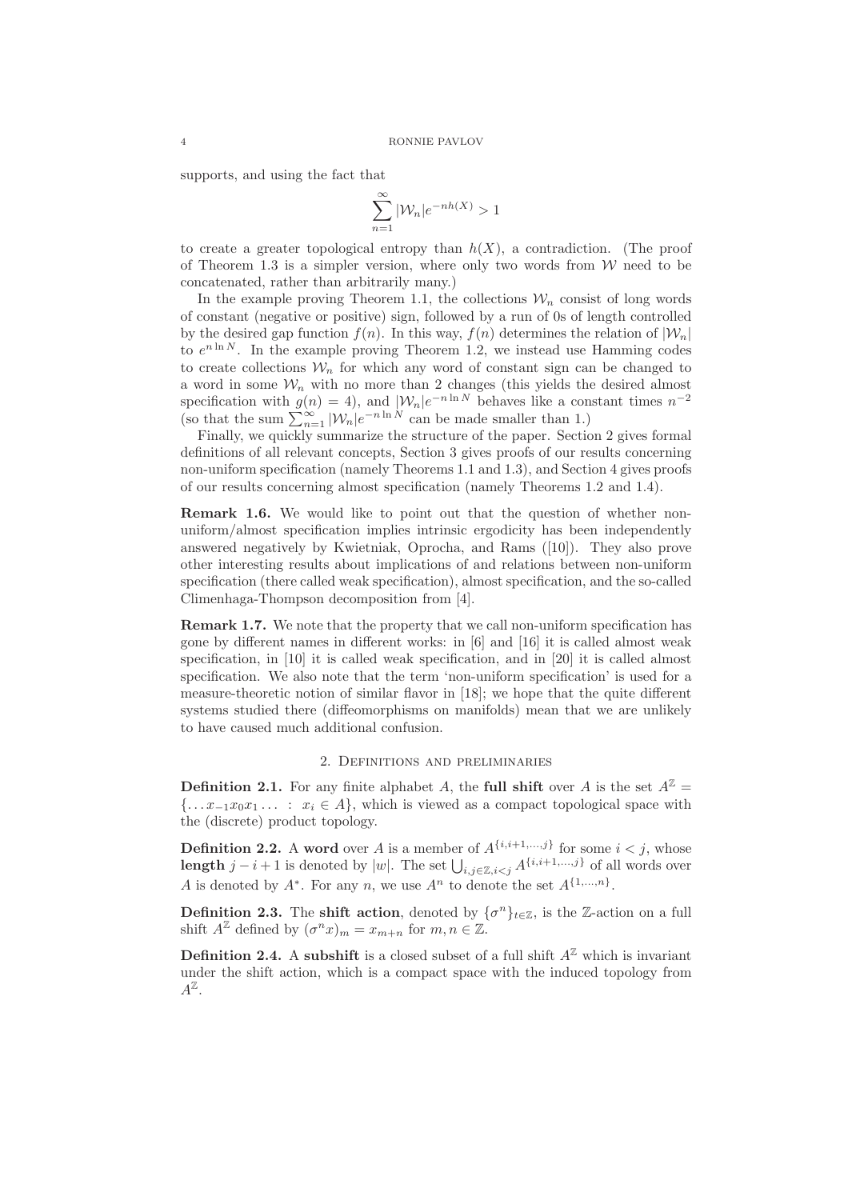supports, and using the fact that

$$
\sum_{n=1}^{\infty} |\mathcal{W}_n| e^{-nh(X)} > 1
$$

to create a greater topological entropy than  $h(X)$ , a contradiction. (The proof of Theorem 1.3 is a simpler version, where only two words from  $W$  need to be concatenated, rather than arbitrarily many.)

In the example proving Theorem 1.1, the collections  $\mathcal{W}_n$  consist of long words of constant (negative or positive) sign, followed by a run of 0s of length controlled by the desired gap function  $f(n)$ . In this way,  $f(n)$  determines the relation of  $|\mathcal{W}_n|$ to  $e^{n \ln N}$ . In the example proving Theorem 1.2, we instead use Hamming codes to create collections  $W_n$  for which any word of constant sign can be changed to a word in some  $\mathcal{W}_n$  with no more than 2 changes (this yields the desired almost specification with  $g(n) = 4$ ), and  $|\mathcal{W}_n|e^{-n \ln N}$  behaves like a constant times  $n^{-2}$ (so that the sum  $\sum_{n=1}^{\infty} |W_n|e^{-n \ln N}$  can be made smaller than 1.)

Finally, we quickly summarize the structure of the paper. Section 2 gives formal definitions of all relevant concepts, Section 3 gives proofs of our results concerning non-uniform specification (namely Theorems 1.1 and 1.3), and Section 4 gives proofs of our results concerning almost specification (namely Theorems 1.2 and 1.4).

Remark 1.6. We would like to point out that the question of whether nonuniform/almost specification implies intrinsic ergodicity has been independently answered negatively by Kwietniak, Oprocha, and Rams ([10]). They also prove other interesting results about implications of and relations between non-uniform specification (there called weak specification), almost specification, and the so-called Climenhaga-Thompson decomposition from [4].

Remark 1.7. We note that the property that we call non-uniform specification has gone by different names in different works: in [6] and [16] it is called almost weak specification, in [10] it is called weak specification, and in [20] it is called almost specification. We also note that the term 'non-uniform specification' is used for a measure-theoretic notion of similar flavor in [18]; we hope that the quite different systems studied there (diffeomorphisms on manifolds) mean that we are unlikely to have caused much additional confusion.

### 2. Definitions and preliminaries

**Definition 2.1.** For any finite alphabet A, the **full shift** over A is the set  $A^{\mathbb{Z}} =$  ${\ldots} x_{-1}x_0x_1 \ldots : x_i \in A$ , which is viewed as a compact topological space with the (discrete) product topology.

**Definition 2.2.** A word over A is a member of  $A^{\{i,i+1,\ldots,j\}}$  for some  $i < j$ , whose length  $j - i + 1$  is denoted by |w|. The set  $\bigcup_{i,j\in\mathbb{Z},i\leq j} A^{\{i,i+1,\ldots,j\}}$  of all words over A is denoted by  $A^*$ . For any n, we use  $A^n$  to denote the set  $A^{\{1,\ldots,n\}}$ .

**Definition 2.3.** The shift action, denoted by  ${\{\sigma^n\}}_{t \in \mathbb{Z}}$ , is the Z-action on a full shift  $A^{\mathbb{Z}}$  defined by  $(\sigma^n x)_m = x_{m+n}$  for  $m, n \in \mathbb{Z}$ .

**Definition 2.4.** A subshift is a closed subset of a full shift  $A^{\mathbb{Z}}$  which is invariant under the shift action, which is a compact space with the induced topology from  $A^{\mathbb{Z}}$ .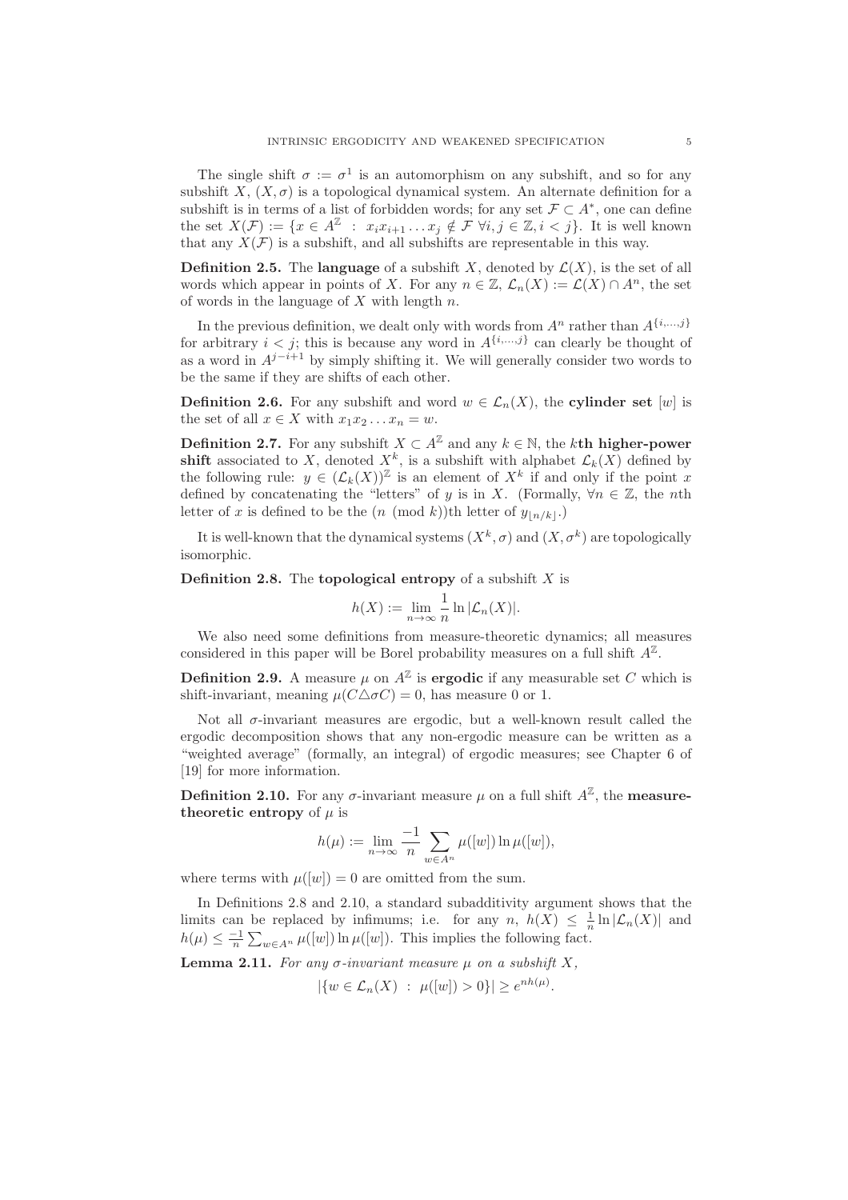The single shift  $\sigma := \sigma^1$  is an automorphism on any subshift, and so for any subshift X,  $(X, \sigma)$  is a topological dynamical system. An alternate definition for a subshift is in terms of a list of forbidden words; for any set  $\mathcal{F} \subset A^*$ , one can define the set  $X(\mathcal{F}) := \{x \in A^{\mathbb{Z}} : x_i x_{i+1} \dots x_j \notin \mathcal{F} \ \forall i, j \in \mathbb{Z}, i < j\}.$  It is well known that any  $X(\mathcal{F})$  is a subshift, and all subshifts are representable in this way.

**Definition 2.5.** The language of a subshift X, denoted by  $\mathcal{L}(X)$ , is the set of all words which appear in points of X. For any  $n \in \mathbb{Z}$ ,  $\mathcal{L}_n(X) := \mathcal{L}(X) \cap A^n$ , the set of words in the language of  $X$  with length  $n$ .

In the previous definition, we dealt only with words from  $A^n$  rather than  $A^{\{i,\ldots,j\}}$ for arbitrary  $i < j$ ; this is because any word in  $A^{\{i,\ldots,j\}}$  can clearly be thought of as a word in  $A^{j-i+1}$  by simply shifting it. We will generally consider two words to be the same if they are shifts of each other.

**Definition 2.6.** For any subshift and word  $w \in \mathcal{L}_n(X)$ , the **cylinder set** [w] is the set of all  $x \in X$  with  $x_1 x_2 \ldots x_n = w$ .

**Definition 2.7.** For any subshift  $X \subset A^{\mathbb{Z}}$  and any  $k \in \mathbb{N}$ , the kth higher-power shift associated to X, denoted  $X^k$ , is a subshift with alphabet  $\mathcal{L}_k(X)$  defined by the following rule:  $y \in (\mathcal{L}_k(X))^{\mathbb{Z}}$  is an element of  $X^k$  if and only if the point x defined by concatenating the "letters" of y is in X. (Formally,  $\forall n \in \mathbb{Z}$ , the nth letter of x is defined to be the  $(n \pmod{k})$ th letter of  $y_{\lfloor n/k \rfloor}$ .

It is well-known that the dynamical systems  $(X^k, \sigma)$  and  $(X, \sigma^k)$  are topologically isomorphic.

**Definition 2.8.** The **topological entropy** of a subshift  $X$  is

$$
h(X) := \lim_{n \to \infty} \frac{1}{n} \ln |\mathcal{L}_n(X)|.
$$

We also need some definitions from measure-theoretic dynamics; all measures considered in this paper will be Borel probability measures on a full shift  $A^{\mathbb{Z}}$ .

**Definition 2.9.** A measure  $\mu$  on  $A^{\mathbb{Z}}$  is **ergodic** if any measurable set C which is shift-invariant, meaning  $\mu(C\Delta\sigma C) = 0$ , has measure 0 or 1.

Not all  $\sigma$ -invariant measures are ergodic, but a well-known result called the ergodic decomposition shows that any non-ergodic measure can be written as a "weighted average" (formally, an integral) of ergodic measures; see Chapter 6 of [19] for more information.

**Definition 2.10.** For any  $\sigma$ -invariant measure  $\mu$  on a full shift  $A^{\mathbb{Z}}$ , the **measure**theoretic entropy of  $\mu$  is

$$
h(\mu) := \lim_{n \to \infty} \frac{-1}{n} \sum_{w \in A^n} \mu([w]) \ln \mu([w]),
$$

where terms with  $\mu([w]) = 0$  are omitted from the sum.

In Definitions 2.8 and 2.10, a standard subadditivity argument shows that the limits can be replaced by infimums; i.e. for any  $n, h(X) \leq \frac{1}{n} \ln |\mathcal{L}_n(X)|$  and  $h(\mu) \leq \frac{-1}{n} \sum_{w \in A^n} \mu([w]) \ln \mu([w])$ . This implies the following fact.

Lemma 2.11. For any  $\sigma$ -invariant measure  $\mu$  on a subshift X,

$$
|\{w \in \mathcal{L}_n(X) : \mu([w]) > 0\}| \ge e^{nh(\mu)}.
$$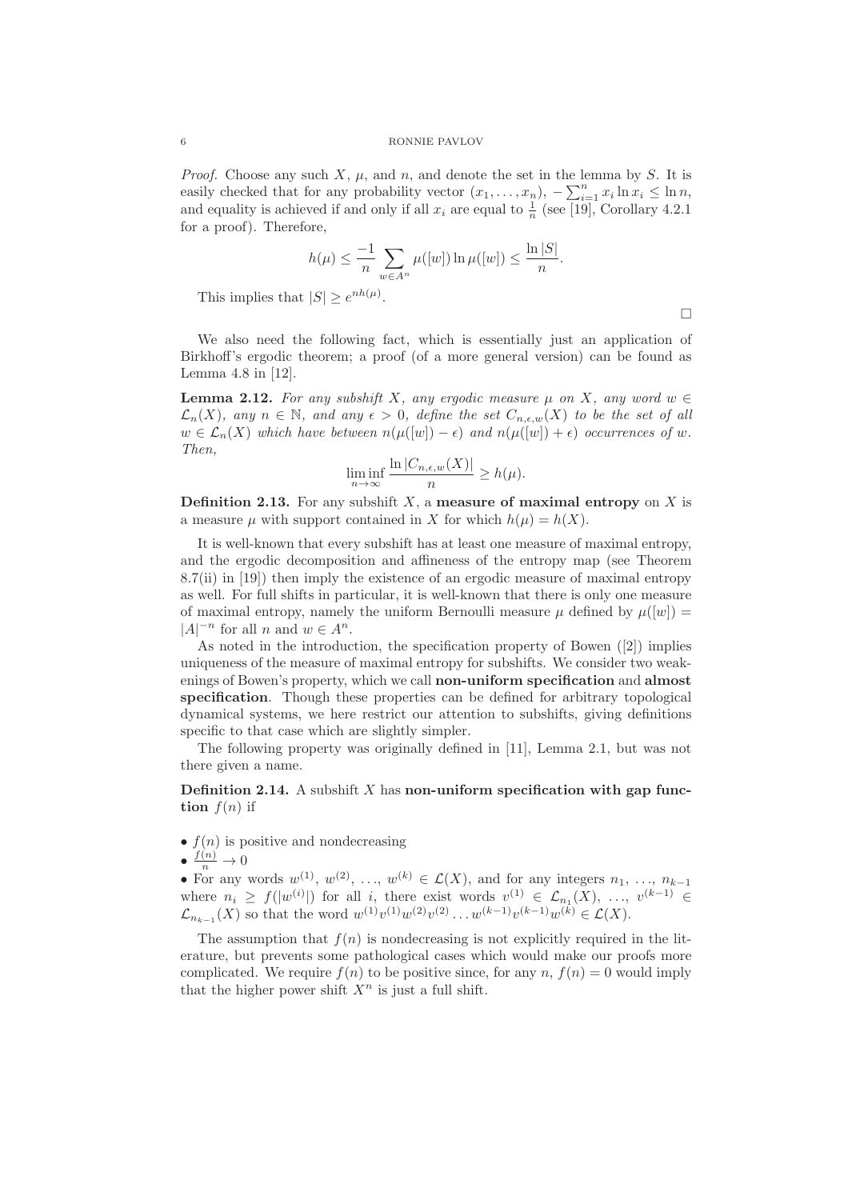*Proof.* Choose any such X,  $\mu$ , and n, and denote the set in the lemma by S. It is easily checked that for any probability vector  $(x_1, \ldots, x_n)$ ,  $-\sum_{i=1}^n x_i \ln x_i \leq \ln n$ , and equality is achieved if and only if all  $x_i$  are equal to  $\frac{1}{n}$  (see [19], Corollary 4.2.1 for a proof). Therefore,

$$
h(\mu) \le \frac{-1}{n} \sum_{w \in A^n} \mu([w]) \ln \mu([w]) \le \frac{\ln |S|}{n}.
$$

This implies that  $|S| \geq e^{nh(\mu)}$ .

 $\Box$ 

We also need the following fact, which is essentially just an application of Birkhoff's ergodic theorem; a proof (of a more general version) can be found as Lemma 4.8 in [12].

**Lemma 2.12.** For any subshift X, any ergodic measure  $\mu$  on X, any word  $w \in$  $\mathcal{L}_n(X)$ , any  $n \in \mathbb{N}$ , and any  $\epsilon > 0$ , define the set  $C_{n,\epsilon,w}(X)$  to be the set of all  $w \in \mathcal{L}_n(X)$  which have between  $n(\mu([w]) - \epsilon)$  and  $n(\mu([w]) + \epsilon)$  occurrences of w. Then,

$$
\liminf_{n \to \infty} \frac{\ln |C_{n,\epsilon,w}(X)|}{n} \ge h(\mu).
$$

**Definition 2.13.** For any subshift  $X$ , a measure of maximal entropy on X is a measure  $\mu$  with support contained in X for which  $h(\mu) = h(X)$ .

It is well-known that every subshift has at least one measure of maximal entropy, and the ergodic decomposition and affineness of the entropy map (see Theorem 8.7(ii) in [19]) then imply the existence of an ergodic measure of maximal entropy as well. For full shifts in particular, it is well-known that there is only one measure of maximal entropy, namely the uniform Bernoulli measure  $\mu$  defined by  $\mu([w]) =$  $|A|^{-n}$  for all n and  $w \in A^n$ .

As noted in the introduction, the specification property of Bowen ([2]) implies uniqueness of the measure of maximal entropy for subshifts. We consider two weakenings of Bowen's property, which we call non-uniform specification and almost specification. Though these properties can be defined for arbitrary topological dynamical systems, we here restrict our attention to subshifts, giving definitions specific to that case which are slightly simpler.

The following property was originally defined in [11], Lemma 2.1, but was not there given a name.

**Definition 2.14.** A subshift X has non-uniform specification with gap function  $f(n)$  if

- $f(n)$  is positive and nondecreasing
- $\bullet$   $\frac{f(n)}{n} \to 0$

• For any words  $w^{(1)}, w^{(2)}, \ldots, w^{(k)} \in \mathcal{L}(X)$ , and for any integers  $n_1, \ldots, n_{k-1}$ where  $n_i \ge f(|w^{(i)}|)$  for all i, there exist words  $v^{(1)} \in \mathcal{L}_{n_1}(X), \ldots, v^{(k-1)} \in$  $\mathcal{L}_{n_{k-1}}(X)$  so that the word  $w^{(1)}v^{(1)}w^{(2)}v^{(2)}\ldots w^{(k-1)}v^{(k-1)}w^{(k)} \in \mathcal{L}(X)$ .

The assumption that  $f(n)$  is nondecreasing is not explicitly required in the literature, but prevents some pathological cases which would make our proofs more complicated. We require  $f(n)$  to be positive since, for any  $n, f(n) = 0$  would imply that the higher power shift  $X^n$  is just a full shift.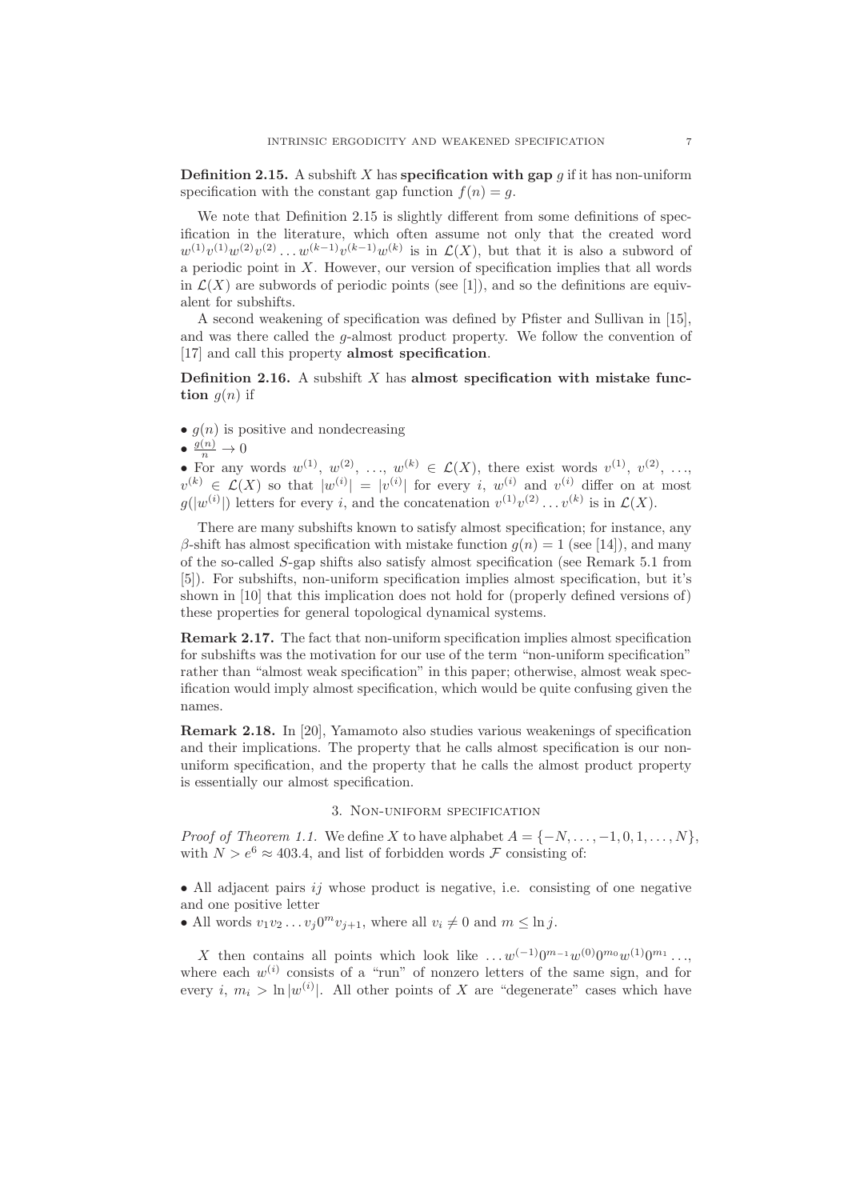**Definition 2.15.** A subshift X has specification with gap g if it has non-uniform specification with the constant gap function  $f(n) = q$ .

We note that Definition 2.15 is slightly different from some definitions of specification in the literature, which often assume not only that the created word  $w^{(1)}v^{(1)}w^{(2)}v^{(2)}\ldots w^{(k-1)}v^{(k-1)}w^{(k)}$  is in  $\mathcal{L}(X)$ , but that it is also a subword of a periodic point in  $X$ . However, our version of specification implies that all words in  $\mathcal{L}(X)$  are subwords of periodic points (see [1]), and so the definitions are equivalent for subshifts.

A second weakening of specification was defined by Pfister and Sullivan in [15], and was there called the g-almost product property. We follow the convention of [17] and call this property **almost specification**.

**Definition 2.16.** A subshift  $X$  has almost specification with mistake function  $g(n)$  if

- $q(n)$  is positive and nondecreasing
- $\bullet \frac{g(n)}{n} \to 0$

• For any words  $w^{(1)}, w^{(2)}, \ldots, w^{(k)} \in \mathcal{L}(X)$ , there exist words  $v^{(1)}, v^{(2)}, \ldots$  $v^{(k)} \in \mathcal{L}(X)$  so that  $|w^{(i)}| = |v^{(i)}|$  for every i,  $w^{(i)}$  and  $v^{(i)}$  differ on at most  $g(|w^{(i)}|)$  letters for every i, and the concatenation  $v^{(1)}v^{(2)}\ldots v^{(k)}$  is in  $\mathcal{L}(X)$ .

There are many subshifts known to satisfy almost specification; for instance, any β-shift has almost specification with mistake function  $q(n) = 1$  (see [14]), and many of the so-called S-gap shifts also satisfy almost specification (see Remark 5.1 from [5]). For subshifts, non-uniform specification implies almost specification, but it's shown in [10] that this implication does not hold for (properly defined versions of) these properties for general topological dynamical systems.

Remark 2.17. The fact that non-uniform specification implies almost specification for subshifts was the motivation for our use of the term "non-uniform specification" rather than "almost weak specification" in this paper; otherwise, almost weak specification would imply almost specification, which would be quite confusing given the names.

Remark 2.18. In [20], Yamamoto also studies various weakenings of specification and their implications. The property that he calls almost specification is our nonuniform specification, and the property that he calls the almost product property is essentially our almost specification.

### 3. Non-uniform specification

*Proof of Theorem 1.1.* We define X to have alphabet  $A = \{-N, \ldots, -1, 0, 1, \ldots, N\}$ , with  $N > e^6 \approx 403.4$ , and list of forbidden words F consisting of:

• All adjacent pairs  $i\dot{j}$  whose product is negative, i.e. consisting of one negative and one positive letter

• All words  $v_1v_2 \ldots v_j 0^m v_{j+1}$ , where all  $v_i \neq 0$  and  $m \leq \ln j$ .

X then contains all points which look like  $\dots w^{(-1)}0^{m_{-1}}w^{(0)}0^{m_0}w^{(1)}0^{m_1} \dots$ where each  $w^{(i)}$  consists of a "run" of nonzero letters of the same sign, and for every *i*,  $m_i > \ln |w^{(i)}|$ . All other points of X are "degenerate" cases which have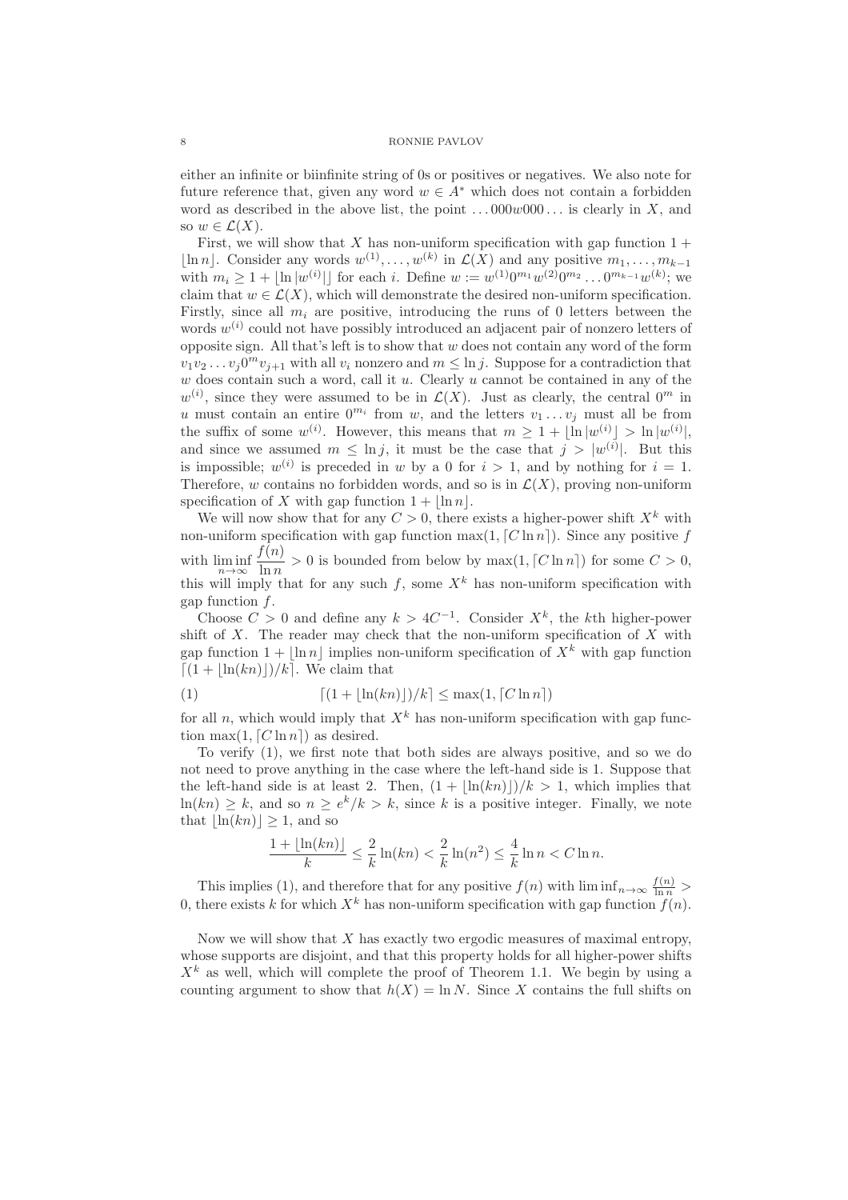either an infinite or biinfinite string of 0s or positives or negatives. We also note for future reference that, given any word  $w \in A^*$  which does not contain a forbidden word as described in the above list, the point  $\dots 000w000\dots$  is clearly in X, and so  $w \in \mathcal{L}(X)$ .

First, we will show that X has non-uniform specification with gap function  $1 +$ [ln n]. Consider any words  $w^{(1)}, \ldots, w^{(k)}$  in  $\mathcal{L}(X)$  and any positive  $m_1, \ldots, m_{k-1}$ with  $m_i \geq 1 + \lfloor \ln |w^{(i)}| \rfloor$  for each i. Define  $w := w^{(1)}0^{m_1}w^{(2)}0^{m_2} \dots 0^{m_{k-1}}w^{(k)}$ ; we claim that  $w \in \mathcal{L}(X)$ , which will demonstrate the desired non-uniform specification. Firstly, since all  $m_i$  are positive, introducing the runs of 0 letters between the words  $w^{(i)}$  could not have possibly introduced an adjacent pair of nonzero letters of opposite sign. All that's left is to show that  $w$  does not contain any word of the form  $v_1v_2 \ldots v_j0^m v_{j+1}$  with all  $v_i$  nonzero and  $m \leq \ln j$ . Suppose for a contradiction that  $w$  does contain such a word, call it  $u$ . Clearly  $u$  cannot be contained in any of the  $w^{(i)}$ , since they were assumed to be in  $\mathcal{L}(X)$ . Just as clearly, the central  $0^m$  in u must contain an entire  $0^{m_i}$  from w, and the letters  $v_1 \dots v_j$  must all be from the suffix of some  $w^{(i)}$ . However, this means that  $m \geq 1 + \lfloor \ln |w^{(i)}| > \ln |w^{(i)}|$ , and since we assumed  $m \leq \ln j$ , it must be the case that  $j > |w^{(i)}|$ . But this is impossible;  $w^{(i)}$  is preceded in w by a 0 for  $i > 1$ , and by nothing for  $i = 1$ . Therefore, w contains no forbidden words, and so is in  $\mathcal{L}(X)$ , proving non-uniform specification of X with gap function  $1 + |\ln n|$ .

We will now show that for any  $C > 0$ , there exists a higher-power shift  $X^k$  with non-uniform specification with gap function  $\max(1, [C \ln n])$ . Since any positive f with  $\liminf_{n\to\infty}$  $f(n)$  $\frac{\partial f(x)}{\partial \ln n} > 0$  is bounded from below by max $(1, \lceil C \ln n \rceil)$  for some  $C > 0$ , this will imply that for any such f, some  $X^k$  has non-uniform specification with gap function  $f$ .

Choose  $C > 0$  and define any  $k > 4C^{-1}$ . Consider  $X<sup>k</sup>$ , the kth higher-power shift of  $X$ . The reader may check that the non-uniform specification of  $X$  with gap function  $1 + \ln n \cdot \text{implies non-uniform specification of } X^k$  with gap function  $\lceil (1 + |\ln(kn)|)/k \rceil$ . We claim that

$$
(1) \qquad \qquad [(1 + \lfloor \ln(kn) \rfloor)/k] \le \max(1, \lceil C \ln n \rceil)
$$

for all n, which would imply that  $X^k$  has non-uniform specification with gap function max $(1, [C \ln n])$  as desired.

To verify (1), we first note that both sides are always positive, and so we do not need to prove anything in the case where the left-hand side is 1. Suppose that the left-hand side is at least 2. Then,  $(1 + |\ln(kn)|)/k > 1$ , which implies that  $\ln(kn) \geq k$ , and so  $n \geq e^k/k > k$ , since k is a positive integer. Finally, we note that  $\ln(kn)$  > 1, and so

$$
\frac{1 + \lfloor \ln(kn) \rfloor}{k} \le \frac{2}{k} \ln(kn) < \frac{2}{k} \ln(n^2) \le \frac{4}{k} \ln n < C \ln n.
$$

This implies (1), and therefore that for any positive  $f(n)$  with  $\liminf_{n\to\infty} \frac{f(n)}{\ln n}$ 0, there exists k for which  $X^k$  has non-uniform specification with gap function  $f(n)$ .

Now we will show that  $X$  has exactly two ergodic measures of maximal entropy, whose supports are disjoint, and that this property holds for all higher-power shifts  $X^k$  as well, which will complete the proof of Theorem 1.1. We begin by using a counting argument to show that  $h(X) = \ln N$ . Since X contains the full shifts on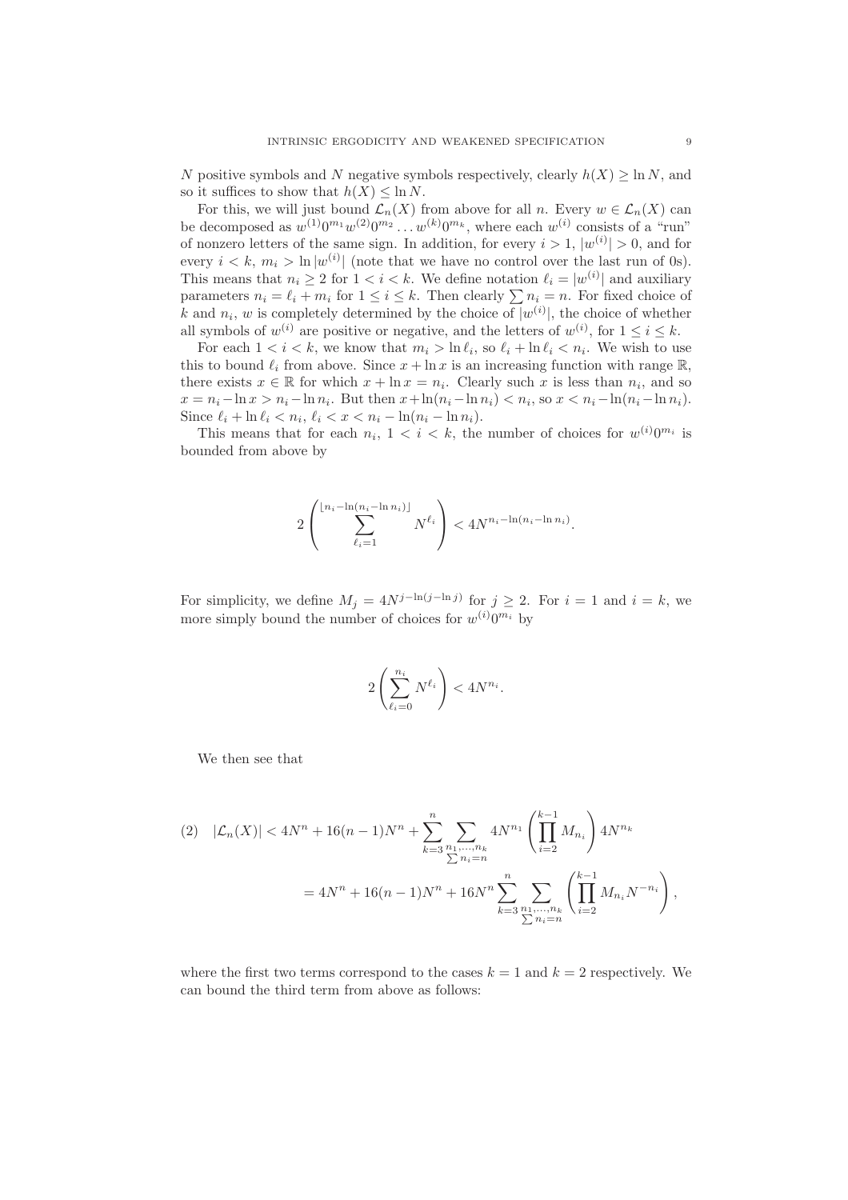N positive symbols and N negative symbols respectively, clearly  $h(X) \geq \ln N$ , and so it suffices to show that  $h(X) \leq \ln N$ .

For this, we will just bound  $\mathcal{L}_n(X)$  from above for all n. Every  $w \in \mathcal{L}_n(X)$  can be decomposed as  $w^{(1)}0^{m_1}w^{(2)}0^{m_2}\ldots w^{(k)}0^{m_k}$ , where each  $w^{(i)}$  consists of a "run" of nonzero letters of the same sign. In addition, for every  $i > 1$ ,  $|w^{(i)}| > 0$ , and for every  $i < k$ ,  $m_i > \ln |w^{(i)}|$  (note that we have no control over the last run of 0s). This means that  $n_i \geq 2$  for  $1 < i < k$ . We define notation  $\ell_i = |w^{(i)}|$  and auxiliary parameters  $n_i = \ell_i + m_i$  for  $1 \leq i \leq k$ . Then clearly  $\sum n_i = n$ . For fixed choice of k and  $n_i$ , w is completely determined by the choice of  $|w^{(i)}|$ , the choice of whether all symbols of  $w^{(i)}$  are positive or negative, and the letters of  $w^{(i)}$ , for  $1 \le i \le k$ .

For each  $1 < i < k$ , we know that  $m_i > \ln \ell_i$ , so  $\ell_i + \ln \ell_i < n_i$ . We wish to use this to bound  $\ell_i$  from above. Since  $x + \ln x$  is an increasing function with range R, there exists  $x \in \mathbb{R}$  for which  $x + \ln x = n_i$ . Clearly such x is less than  $n_i$ , and so  $x = n_i - \ln x > n_i - \ln n_i$ . But then  $x + \ln(n_i - \ln n_i) < n_i$ , so  $x < n_i - \ln(n_i - \ln n_i)$ . Since  $\ell_i + \ln \ell_i < n_i$ ,  $\ell_i < x < n_i - \ln(n_i - \ln n_i)$ .

This means that for each  $n_i$ ,  $1 < i < k$ , the number of choices for  $w^{(i)}0^{m_i}$  is bounded from above by

$$
2\left(\sum_{\ell_i=1}^{\lfloor n_i-\ln(n_i-\ln n_i)\rfloor} N^{\ell_i}\right) < 4N^{n_i-\ln(n_i-\ln n_i)}.
$$

For simplicity, we define  $M_j = 4N^{j-\ln(j-\ln j)}$  for  $j \geq 2$ . For  $i = 1$  and  $i = k$ , we more simply bound the number of choices for  $w^{(i)}0^{m_i}$  by

$$
2\left(\sum_{\ell_i=0}^{n_i} N^{\ell_i}\right) < 4N^{n_i}.
$$

We then see that

$$
(2) \quad |\mathcal{L}_n(X)| < 4N^n + 16(n-1)N^n + \sum_{k=3}^n \sum_{\substack{n_1,\dots,n_k \\ \sum n_i = n}} 4N^{n_1} \left( \prod_{i=2}^{k-1} M_{n_i} \right) 4N^{n_k}
$$
\n
$$
= 4N^n + 16(n-1)N^n + 16N^n \sum_{k=3}^n \sum_{\substack{n_1,\dots,n_k \\ \sum n_i = n}} \left( \prod_{i=2}^{k-1} M_{n_i} N^{-n_i} \right),
$$

where the first two terms correspond to the cases  $k = 1$  and  $k = 2$  respectively. We can bound the third term from above as follows: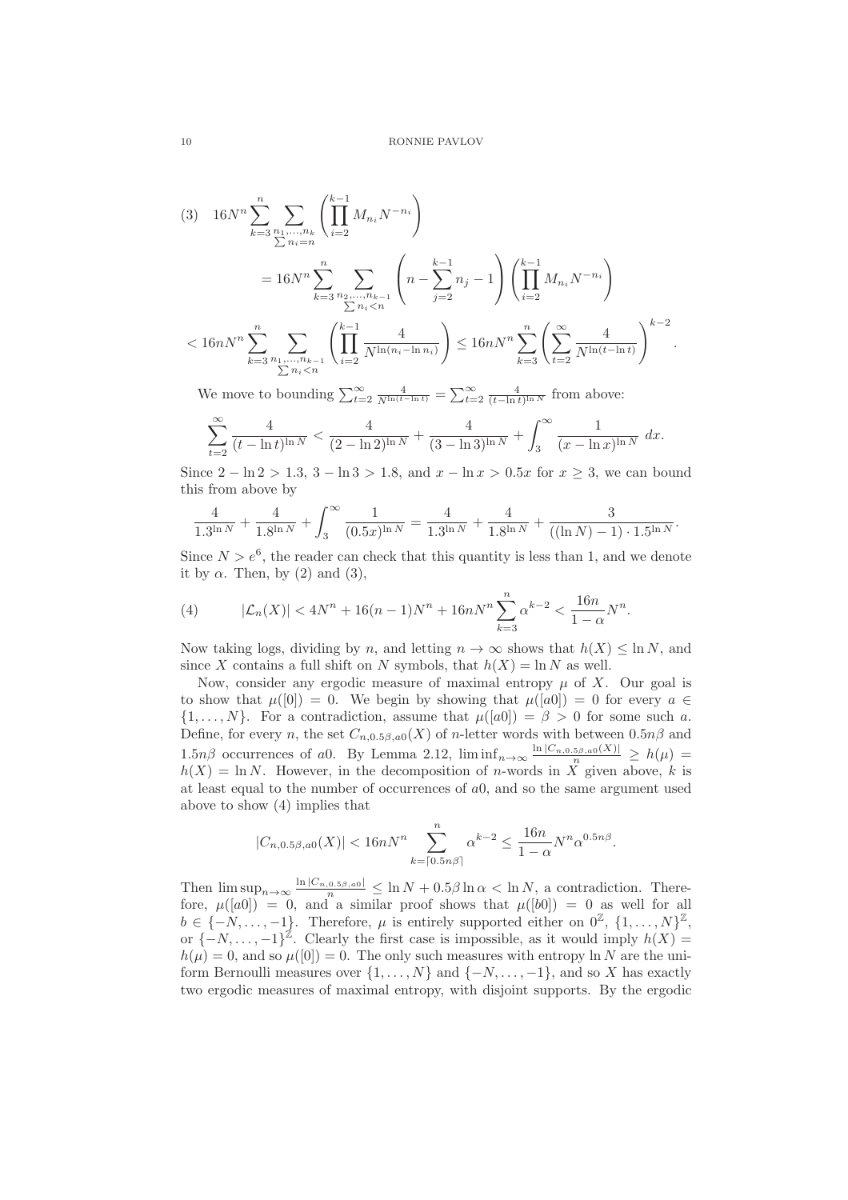$$
(3) \quad 16N^{n} \sum_{k=3}^{n} \sum_{\substack{n_1, \dots, n_k \\ \sum n_i = n}} \left( \prod_{i=2}^{k-1} M_{n_i} N^{-n_i} \right)
$$
  

$$
= 16N^{n} \sum_{k=3}^{n} \sum_{\substack{n_2, \dots, n_{k-1} \\ \sum n_i < n}} \left( n - \sum_{j=2}^{k-1} n_j - 1 \right) \left( \prod_{i=2}^{k-1} M_{n_i} N^{-n_i} \right)
$$
  

$$
< 16nN^{n} \sum_{k=3}^{n} \sum_{\substack{n_1, \dots, n_{k-1} \\ \sum n_i < n}} \left( \prod_{i=2}^{k-1} \frac{4}{N^{\ln(n_i - \ln n_i)}} \right) \le 16nN^{n} \sum_{k=3}^{n} \left( \sum_{t=2}^{\infty} \frac{4}{N^{\ln(t - \ln t)}} \right)^{k-2}.
$$

We move to bounding  $\sum_{t=2}^{\infty} \frac{4}{N^{\ln(t-\ln t)}} = \sum_{t=2}^{\infty} \frac{4}{(t-\ln t)^{\ln N}}$  from above:

$$
\sum_{t=2}^{\infty} \frac{4}{(t - \ln t)^{\ln N}} < \frac{4}{(2 - \ln 2)^{\ln N}} + \frac{4}{(3 - \ln 3)^{\ln N}} + \int_{3}^{\infty} \frac{1}{(x - \ln x)^{\ln N}} dx.
$$

Since  $2 - \ln 2 > 1.3$ ,  $3 - \ln 3 > 1.8$ , and  $x - \ln x > 0.5x$  for  $x > 3$ , we can bound this from above by

$$
\frac{4}{1.3^{\ln N}} + \frac{4}{1.8^{\ln N}} + \int_3^{\infty} \frac{1}{(0.5x)^{\ln N}} = \frac{4}{1.3^{\ln N}} + \frac{4}{1.8^{\ln N}} + \frac{3}{((\ln N) - 1) \cdot 1.5^{\ln N}}.
$$

Since  $N > e^6$ , the reader can check that this quantity is less than 1, and we denote it by  $\alpha$ . Then, by (2) and (3),

(4) 
$$
|\mathcal{L}_n(X)| < 4N^n + 16(n-1)N^n + 16nN^n \sum_{k=3}^n \alpha^{k-2} < \frac{16n}{1-\alpha}N^n.
$$

Now taking logs, dividing by n, and letting  $n \to \infty$  shows that  $h(X) \leq \ln N$ , and since X contains a full shift on N symbols, that  $h(X) = \ln N$  as well.

Now, consider any ergodic measure of maximal entropy  $\mu$  of X. Our goal is to show that  $\mu([0]) = 0$ . We begin by showing that  $\mu([a0]) = 0$  for every  $a \in$  $\{1,\ldots,N\}$ . For a contradiction, assume that  $\mu([a0]) = \beta > 0$  for some such a. Define, for every n, the set  $C_{n,0.5\beta,a0}(X)$  of n-letter words with between  $0.5n\beta$  and 1.5n $\beta$  occurrences of a0. By Lemma 2.12,  $\liminf_{n\to\infty} \frac{\ln |C_{n,0.5\beta,a0}(X)|}{n} \ge h(\mu)$  $h(X) = \ln N$ . However, in the decomposition of *n*-words in X<sup>n</sup> given above, k is at least equal to the number of occurrences of a0, and so the same argument used above to show (4) implies that

$$
|C_{n,0.5\beta,a0}(X)| < 16nN^n \sum_{k=\lceil 0.5n\beta \rceil}^{n} \alpha^{k-2} \le \frac{16n}{1-\alpha} N^n \alpha^{0.5n\beta}.
$$

Then  $\limsup_{n\to\infty} \frac{\ln |C_{n,0.5\beta,a0}|}{n} \leq \ln N + 0.5\beta \ln \alpha < \ln N$ , a contradiction. Therefore,  $\mu([a0]) = 0$ , and a similar proof shows that  $\mu([b0]) = 0$  as well for all  $b \in \{-N, \ldots, -1\}$ . Therefore,  $\mu$  is entirely supported either on  $0^{\mathbb{Z}}, \{1, \ldots, N\}^{\mathbb{Z}},$ or  $\{-N, \ldots, -1\}^{\mathbb{Z}}$ . Clearly the first case is impossible, as it would imply  $h(X) =$  $h(\mu) = 0$ , and so  $\mu([0]) = 0$ . The only such measures with entropy ln N are the uniform Bernoulli measures over  $\{1, \ldots, N\}$  and  $\{-N, \ldots, -1\}$ , and so X has exactly two ergodic measures of maximal entropy, with disjoint supports. By the ergodic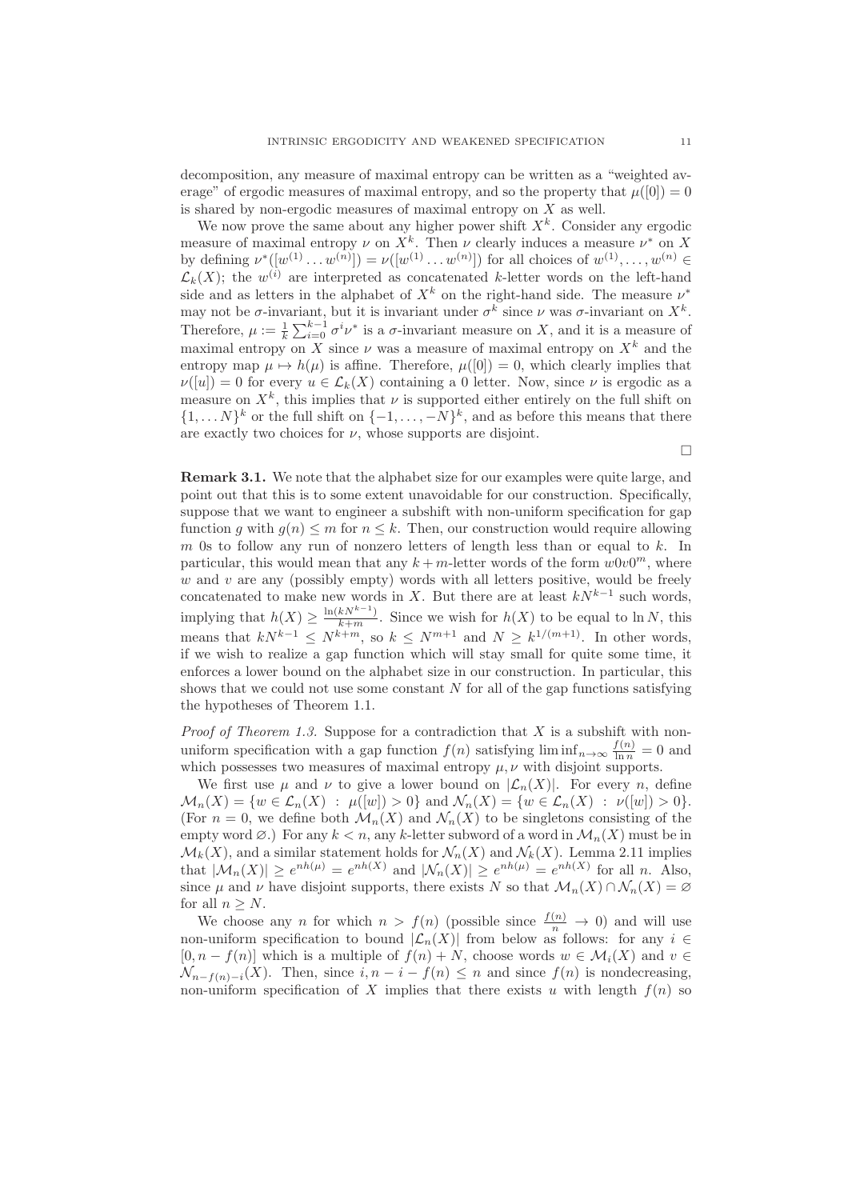decomposition, any measure of maximal entropy can be written as a "weighted average" of ergodic measures of maximal entropy, and so the property that  $\mu([0]) = 0$ is shared by non-ergodic measures of maximal entropy on  $X$  as well.

We now prove the same about any higher power shift  $X<sup>k</sup>$ . Consider any ergodic measure of maximal entropy  $\nu$  on  $X^k$ . Then  $\nu$  clearly induces a measure  $\nu^*$  on X by defining  $\nu^*([w^{(1)} \dots w^{(n)}]) = \nu([w^{(1)} \dots w^{(n)}])$  for all choices of  $w^{(1)}, \dots, w^{(n)} \in$  $\mathcal{L}_k(X)$ ; the  $w^{(i)}$  are interpreted as concatenated k-letter words on the left-hand side and as letters in the alphabet of  $X^k$  on the right-hand side. The measure  $\nu^*$ may not be  $\sigma$ -invariant, but it is invariant under  $\sigma^k$  since  $\nu$  was  $\sigma$ -invariant on  $X^k$ . Therefore,  $\mu := \frac{1}{k} \sum_{i=0}^{k-1} \sigma^i \nu^*$  is a  $\sigma$ -invariant measure on X, and it is a measure of maximal entropy on X since  $\nu$  was a measure of maximal entropy on  $X^k$  and the entropy map  $\mu \mapsto h(\mu)$  is affine. Therefore,  $\mu([0]) = 0$ , which clearly implies that  $\nu([u]) = 0$  for every  $u \in \mathcal{L}_k(X)$  containing a 0 letter. Now, since  $\nu$  is ergodic as a measure on  $X^k$ , this implies that  $\nu$  is supported either entirely on the full shift on  $\{1, \ldots N\}^k$  or the full shift on  $\{-1, \ldots, -N\}^k$ , and as before this means that there are exactly two choices for  $\nu$ , whose supports are disjoint.

 $\Box$ 

Remark 3.1. We note that the alphabet size for our examples were quite large, and point out that this is to some extent unavoidable for our construction. Specifically, suppose that we want to engineer a subshift with non-uniform specification for gap function g with  $g(n) \leq m$  for  $n \leq k$ . Then, our construction would require allowing m 0s to follow any run of nonzero letters of length less than or equal to  $k$ . In particular, this would mean that any  $k + m$ -letter words of the form  $w0v0^m$ , where  $w$  and  $v$  are any (possibly empty) words with all letters positive, would be freely concatenated to make new words in X. But there are at least  $kN^{k-1}$  such words, implying that  $h(X) \geq \frac{\ln(kN^{k-1})}{k+m}$ . Since we wish for  $h(X)$  to be equal to ln N, this means that  $kN^{k-1} \leq N^{k+m}$ , so  $k \leq N^{m+1}$  and  $N \geq k^{1/(m+1)}$ . In other words, if we wish to realize a gap function which will stay small for quite some time, it enforces a lower bound on the alphabet size in our construction. In particular, this shows that we could not use some constant  $N$  for all of the gap functions satisfying the hypotheses of Theorem 1.1.

*Proof of Theorem 1.3.* Suppose for a contradiction that  $X$  is a subshift with nonuniform specification with a gap function  $f(n)$  satisfying  $\liminf_{n\to\infty} \frac{f(n)}{\ln n} = 0$  and which possesses two measures of maximal entropy  $\mu, \nu$  with disjoint supports.

We first use  $\mu$  and  $\nu$  to give a lower bound on  $|\mathcal{L}_n(X)|$ . For every n, define  $\mathcal{M}_n(X) = \{ w \in \mathcal{L}_n(X) : \mu([w]) > 0 \}$  and  $\mathcal{N}_n(X) = \{ w \in \mathcal{L}_n(X) : \nu([w]) > 0 \}.$ (For  $n = 0$ , we define both  $\mathcal{M}_n(X)$  and  $\mathcal{N}_n(X)$  to be singletons consisting of the empty word  $\emptyset$ .) For any  $k < n$ , any k-letter subword of a word in  $\mathcal{M}_n(X)$  must be in  $\mathcal{M}_k(X)$ , and a similar statement holds for  $\mathcal{N}_n(X)$  and  $\mathcal{N}_k(X)$ . Lemma 2.11 implies that  $|\mathcal{M}_n(X)| \ge e^{nh(\mu)} = e^{nh(X)}$  and  $|\mathcal{N}_n(X)| \ge e^{nh(\mu)} = e^{nh(X)}$  for all n. Also, since  $\mu$  and  $\nu$  have disjoint supports, there exists N so that  $\mathcal{M}_n(X) \cap \mathcal{N}_n(X) = \emptyset$ for all  $n > N$ .

We choose any *n* for which  $n > f(n)$  (possible since  $\frac{f(n)}{n} \to 0$ ) and will use non-uniform specification to bound  $|\mathcal{L}_n(X)|$  from below as follows: for any  $i \in$  $[0, n - f(n)]$  which is a multiple of  $f(n) + N$ , choose words  $w \in \mathcal{M}_i(X)$  and  $v \in$  $\mathcal{N}_{n-f(n)-i}(X)$ . Then, since  $i, n-i-f(n) \leq n$  and since  $f(n)$  is nondecreasing, non-uniform specification of X implies that there exists u with length  $f(n)$  so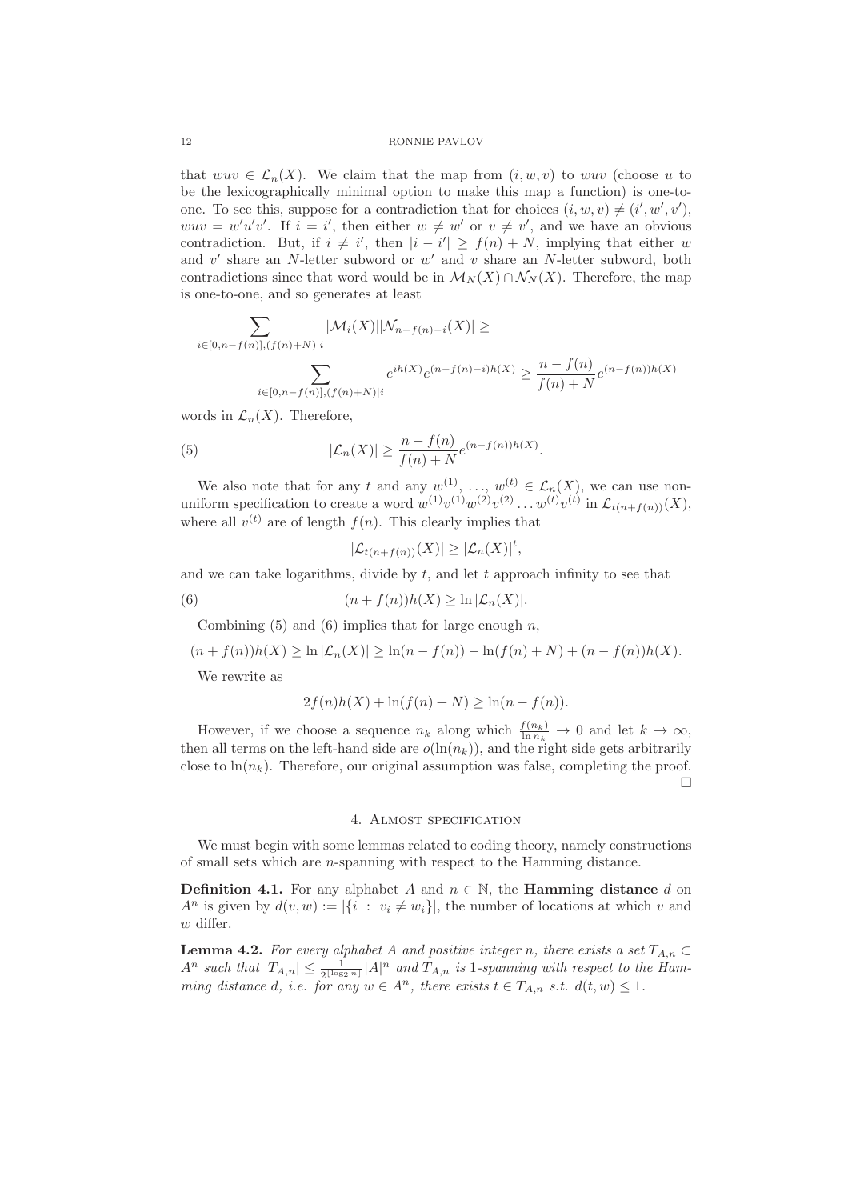### 12 RONNIE PAVLOV

that  $wuv \in \mathcal{L}_n(X)$ . We claim that the map from  $(i, w, v)$  to wuv (choose u to be the lexicographically minimal option to make this map a function) is one-toone. To see this, suppose for a contradiction that for choices  $(i, w, v) \neq (i', w', v')$ ,  $wuv = w'u'v'$ . If  $i = i'$ , then either  $w \neq w'$  or  $v \neq v'$ , and we have an obvious contradiction. But, if  $i \neq i'$ , then  $|i - i'| \geq f(n) + N$ , implying that either w and  $v'$  share an N-letter subword or  $w'$  and  $v$  share an N-letter subword, both contradictions since that word would be in  $\mathcal{M}_N(X) \cap \mathcal{N}_N(X)$ . Therefore, the map is one-to-one, and so generates at least

$$
\sum_{i \in [0,n-f(n)], (f(n)+N)|i} |\mathcal{M}_i(X)| |\mathcal{N}_{n-f(n)-i}(X)| \ge
$$
\n
$$
\sum_{i \in [0,n-f(n)], (f(n)+N)|i} e^{ih(X)} e^{(n-f(n)-i)h(X)} \ge \frac{n-f(n)}{f(n)+N} e^{(n-f(n))h(X)}
$$

words in  $\mathcal{L}_n(X)$ . Therefore,

(5) 
$$
|\mathcal{L}_n(X)| \geq \frac{n - f(n)}{f(n) + N} e^{(n - f(n))h(X)}.
$$

We also note that for any t and any  $w^{(1)}$ , ...,  $w^{(t)} \in \mathcal{L}_n(X)$ , we can use nonuniform specification to create a word  $w^{(1)}v^{(1)}w^{(2)}v^{(2)}\ldots w^{(t)}v^{(t)}$  in  $\mathcal{L}_{t(n+f(n))}(X)$ , where all  $v^{(t)}$  are of length  $f(n)$ . This clearly implies that

$$
|\mathcal{L}_{t(n+f(n))}(X)| \geq |\mathcal{L}_n(X)|^t,
$$

and we can take logarithms, divide by  $t$ , and let  $t$  approach infinity to see that

(6) 
$$
(n + f(n))h(X) \ge \ln |\mathcal{L}_n(X)|.
$$

Combining  $(5)$  and  $(6)$  implies that for large enough n,

$$
(n + f(n))h(X) \ge \ln |\mathcal{L}_n(X)| \ge \ln(n - f(n)) - \ln(f(n) + N) + (n - f(n))h(X).
$$

We rewrite as

$$
2f(n)h(X) + \ln(f(n) + N) \ge \ln(n - f(n)).
$$

However, if we choose a sequence  $n_k$  along which  $\frac{f(n_k)}{\ln n_k} \to 0$  and let  $k \to \infty$ , then all terms on the left-hand side are  $o(\ln(n_k))$ , and the right side gets arbitrarily close to  $\ln(n_k)$ . Therefore, our original assumption was false, completing the proof.  $\Box$ 

#### 4. Almost specification

We must begin with some lemmas related to coding theory, namely constructions of small sets which are n-spanning with respect to the Hamming distance.

**Definition 4.1.** For any alphabet A and  $n \in \mathbb{N}$ , the **Hamming distance** d on  $A^n$  is given by  $d(v, w) := |\{i : v_i \neq w_i\}|$ , the number of locations at which v and  $w$  differ.

**Lemma 4.2.** For every alphabet A and positive integer n, there exists a set  $T_{A,n} \subset$  $A^n$  such that  $|T_{A,n}| \leq \frac{1}{2^{\lfloor \log_2 n \rfloor}} |A|^n$  and  $T_{A,n}$  is 1-spanning with respect to the Hamming distance d, i.e. for any  $w \in A^n$ , there exists  $t \in T_{A,n}$  s.t.  $d(t, w) \leq 1$ .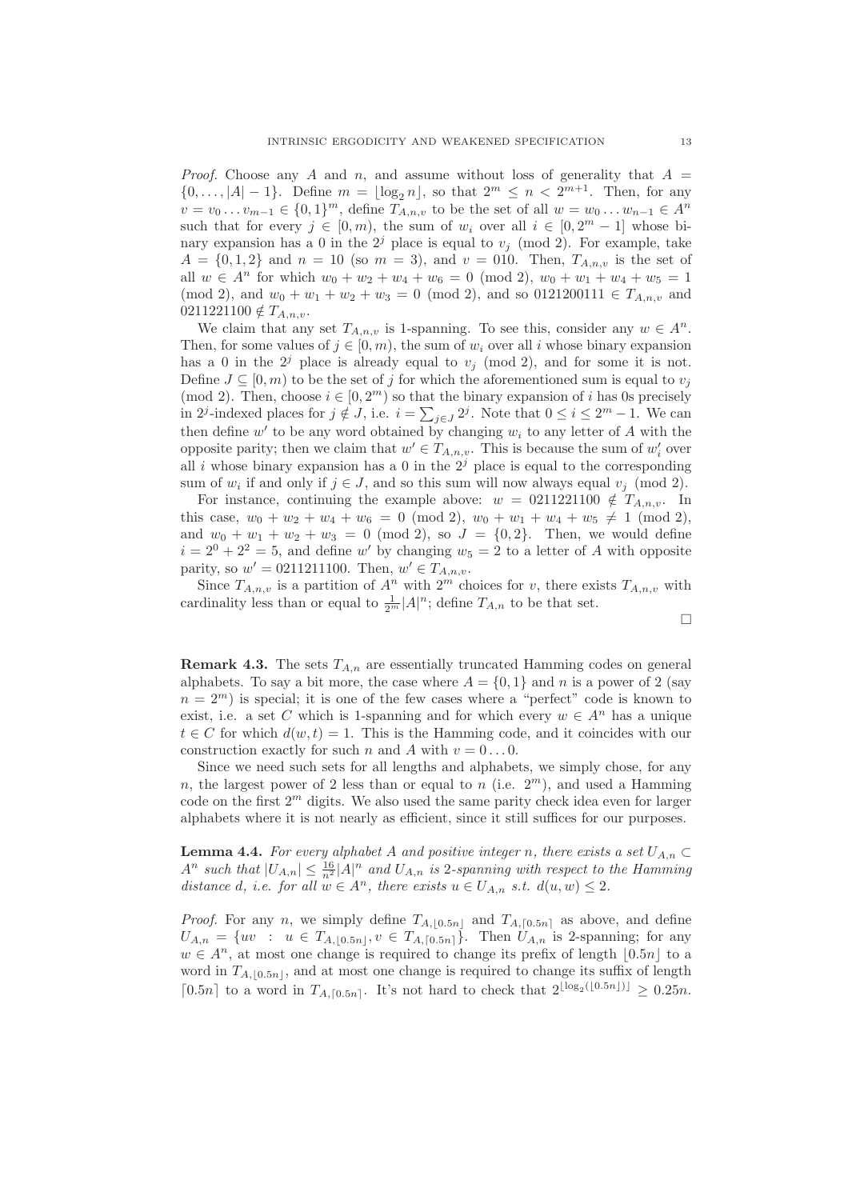*Proof.* Choose any A and n, and assume without loss of generality that  $A =$  $\{0,\ldots,|A|-1\}$ . Define  $m = \lfloor \log_2 n \rfloor$ , so that  $2^m \leq n < 2^{m+1}$ . Then, for any  $v = v_0 ... v_{m-1} \in \{0, 1\}^m$ , define  $T_{A,n,v}$  to be the set of all  $w = w_0 ... w_{n-1} \in A^n$ such that for every  $j \in [0, m)$ , the sum of  $w_i$  over all  $i \in [0, 2^m - 1]$  whose binary expansion has a 0 in the  $2^{j}$  place is equal to  $v_j \pmod{2}$ . For example, take  $A = \{0, 1, 2\}$  and  $n = 10$  (so  $m = 3$ ), and  $v = 010$ . Then,  $T_{A,n,v}$  is the set of all  $w \in A^n$  for which  $w_0 + w_2 + w_4 + w_6 = 0 \pmod{2}$ ,  $w_0 + w_1 + w_4 + w_5 = 1$ (mod 2), and  $w_0 + w_1 + w_2 + w_3 = 0 \pmod{2}$ , and so 0121200111  $\in T_{A,n,v}$  and  $0211221100 \notin T_{A,n,v}.$ 

We claim that any set  $T_{A,n,v}$  is 1-spanning. To see this, consider any  $w \in A^n$ . Then, for some values of  $j \in [0, m)$ , the sum of  $w_i$  over all i whose binary expansion has a 0 in the 2<sup>j</sup> place is already equal to  $v_j$  (mod 2), and for some it is not. Define  $J \subseteq [0, m)$  to be the set of j for which the aforementioned sum is equal to  $v_j$ (mod 2). Then, choose  $i \in [0, 2<sup>m</sup>)$  so that the binary expansion of i has 0s precisely in 2<sup>j</sup>-indexed places for  $j \notin J$ , i.e.  $i = \sum_{j \in J} 2^j$ . Note that  $0 \le i \le 2^m - 1$ . We can then define  $w'$  to be any word obtained by changing  $w_i$  to any letter of A with the opposite parity; then we claim that  $w' \in T_{A,n,v}$ . This is because the sum of  $w'_i$  over all i whose binary expansion has a 0 in the  $2^{j}$  place is equal to the corresponding sum of  $w_i$  if and only if  $j \in J$ , and so this sum will now always equal  $v_j \pmod{2}$ .

For instance, continuing the example above:  $w = 0.211221100 \notin T_{A,n,v}$ . In this case,  $w_0 + w_2 + w_4 + w_6 = 0 \pmod{2}$ ,  $w_0 + w_1 + w_4 + w_5 \neq 1 \pmod{2}$ , and  $w_0 + w_1 + w_2 + w_3 = 0 \pmod{2}$ , so  $J = \{0, 2\}$ . Then, we would define  $i = 2^0 + 2^2 = 5$ , and define w' by changing  $w_5 = 2$  to a letter of A with opposite parity, so  $w' = 0211211100$ . Then,  $w' \in T_{A,n,v}$ .

Since  $T_{A,n,v}$  is a partition of  $A^n$  with  $2^m$  choices for v, there exists  $T_{A,n,v}$  with cardinality less than or equal to  $\frac{1}{2^m} |A|^n$ ; define  $T_{A,n}$  to be that set.

$$
\Box
$$

**Remark 4.3.** The sets  $T_{A,n}$  are essentially truncated Hamming codes on general alphabets. To say a bit more, the case where  $A = \{0, 1\}$  and n is a power of 2 (say  $n = 2<sup>m</sup>$ ) is special; it is one of the few cases where a "perfect" code is known to exist, i.e. a set C which is 1-spanning and for which every  $w \in A^n$  has a unique  $t \in C$  for which  $d(w, t) = 1$ . This is the Hamming code, and it coincides with our construction exactly for such n and A with  $v = 0 \dots 0$ .

Since we need such sets for all lengths and alphabets, we simply chose, for any n, the largest power of 2 less than or equal to n (i.e.  $2<sup>m</sup>$ ), and used a Hamming code on the first  $2<sup>m</sup>$  digits. We also used the same parity check idea even for larger alphabets where it is not nearly as efficient, since it still suffices for our purposes.

**Lemma 4.4.** For every alphabet A and positive integer n, there exists a set  $U_{A,n} \subset$  $A^n$  such that  $|U_{A,n}| \leq \frac{16}{n^2}|A|^n$  and  $U_{A,n}$  is 2-spanning with respect to the Hamming distance d, i.e. for all  $w \in A^n$ , there exists  $u \in U_{A,n}$  s.t.  $d(u, w) \leq 2$ .

*Proof.* For any n, we simply define  $T_{A, [0.5n]}$  and  $T_{A, [0.5n]}$  as above, and define  $U_{A,n} = \{uv : u \in T_{A, [0.5n]}, v \in T_{A, [0.5n]}\}.$  Then  $U_{A,n}$  is 2-spanning; for any  $w \in A<sup>n</sup>$ , at most one change is required to change its prefix of length  $[0.5n]$  to a word in  $T_{A,\vert 0.5n\vert}$ , and at most one change is required to change its suffix of length [0.5n] to a word in  $T_{A,\lceil 0.5n \rceil}$ . It's not hard to check that  $2^{\lfloor \log_2([0.5n]) \rfloor} \geq 0.25n$ .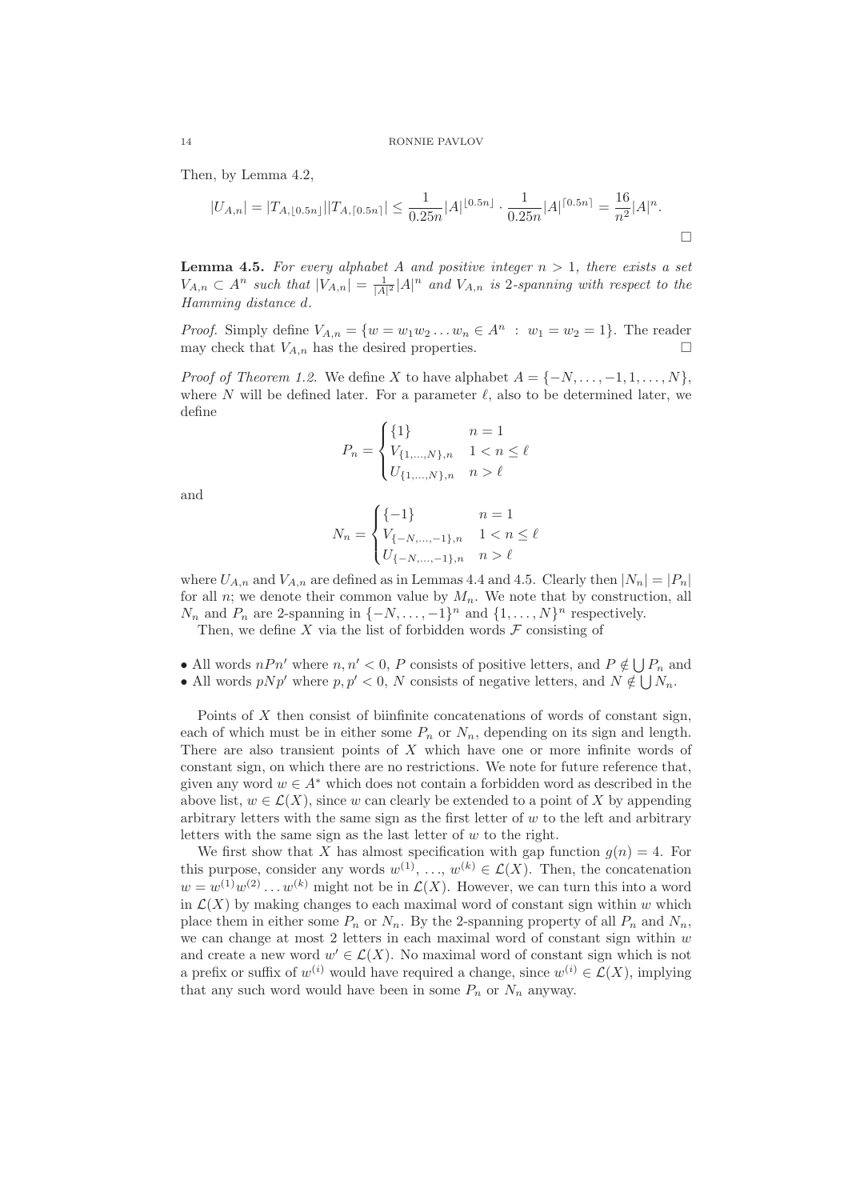Then, by Lemma 4.2,

$$
|U_{A,n}| = |T_{A,[0.5n]}||T_{A,[0.5n]}| \le \frac{1}{0.25n}|A|^{\lfloor 0.5n \rfloor} \cdot \frac{1}{0.25n}|A|^{\lceil 0.5n \rceil} = \frac{16}{n^2}|A|^n.
$$

**Lemma 4.5.** For every alphabet A and positive integer  $n > 1$ , there exists a set  $V_{A,n} \subset A^n$  such that  $|V_{A,n}| = \frac{1}{|A|^2} |A|^n$  and  $V_{A,n}$  is 2-spanning with respect to the Hamming distance d.

*Proof.* Simply define  $V_{A,n} = \{w = w_1w_2...w_n \in A^n : w_1 = w_2 = 1\}$ . The reader may check that  $V_{A,n}$  has the desired properties.

*Proof of Theorem 1.2.* We define X to have alphabet  $A = \{-N, \ldots, -1, 1, \ldots, N\}$ , where N will be defined later. For a parameter  $\ell$ , also to be determined later, we define

$$
P_n = \begin{cases} \{1\} & n = 1\\ V_{\{1,\dots,N\},n} & 1 < n \leq \ell\\ U_{\{1,\dots,N\},n} & n > \ell \end{cases}
$$

and

$$
N_n = \begin{cases} \{-1\} & n = 1\\ V_{\{-N,\ldots,-1\},n} & 1 < n \leq \ell\\ U_{\{-N,\ldots,-1\},n} & n > \ell \end{cases}
$$

where  $U_{A,n}$  and  $V_{A,n}$  are defined as in Lemmas 4.4 and 4.5. Clearly then  $|N_n| = |P_n|$ for all n; we denote their common value by  $M_n$ . We note that by construction, all  $N_n$  and  $P_n$  are 2-spanning in  $\{-N, \ldots, -1\}^n$  and  $\{1, \ldots, N\}^n$  respectively.

Then, we define X via the list of forbidden words  $\mathcal F$  consisting of

• All words  $nPn'$  where  $n, n' < 0$ , P consists of positive letters, and  $P \notin \bigcup P_n$  and • All words  $p N p'$  where  $p, p' < 0$ , N consists of negative letters, and  $N \notin \bigcup N_n$ .

Points of  $X$  then consist of biinfinite concatenations of words of constant sign, each of which must be in either some  $P_n$  or  $N_n$ , depending on its sign and length. There are also transient points of  $X$  which have one or more infinite words of constant sign, on which there are no restrictions. We note for future reference that, given any word  $w \in A^*$  which does not contain a forbidden word as described in the above list,  $w \in \mathcal{L}(X)$ , since w can clearly be extended to a point of X by appending arbitrary letters with the same sign as the first letter of  $w$  to the left and arbitrary letters with the same sign as the last letter of  $w$  to the right.

We first show that X has almost specification with gap function  $q(n) = 4$ . For this purpose, consider any words  $w^{(1)}, \ldots, w^{(k)} \in \mathcal{L}(X)$ . Then, the concatenation  $w = w^{(1)}w^{(2)} \dots w^{(k)}$  might not be in  $\mathcal{L}(X)$ . However, we can turn this into a word in  $\mathcal{L}(X)$  by making changes to each maximal word of constant sign within w which place them in either some  $P_n$  or  $N_n$ . By the 2-spanning property of all  $P_n$  and  $N_n$ , we can change at most  $2$  letters in each maximal word of constant sign within  $w$ and create a new word  $w' \in \mathcal{L}(X)$ . No maximal word of constant sign which is not a prefix or suffix of  $w^{(i)}$  would have required a change, since  $w^{(i)} \in \mathcal{L}(X)$ , implying that any such word would have been in some  $P_n$  or  $N_n$  anyway.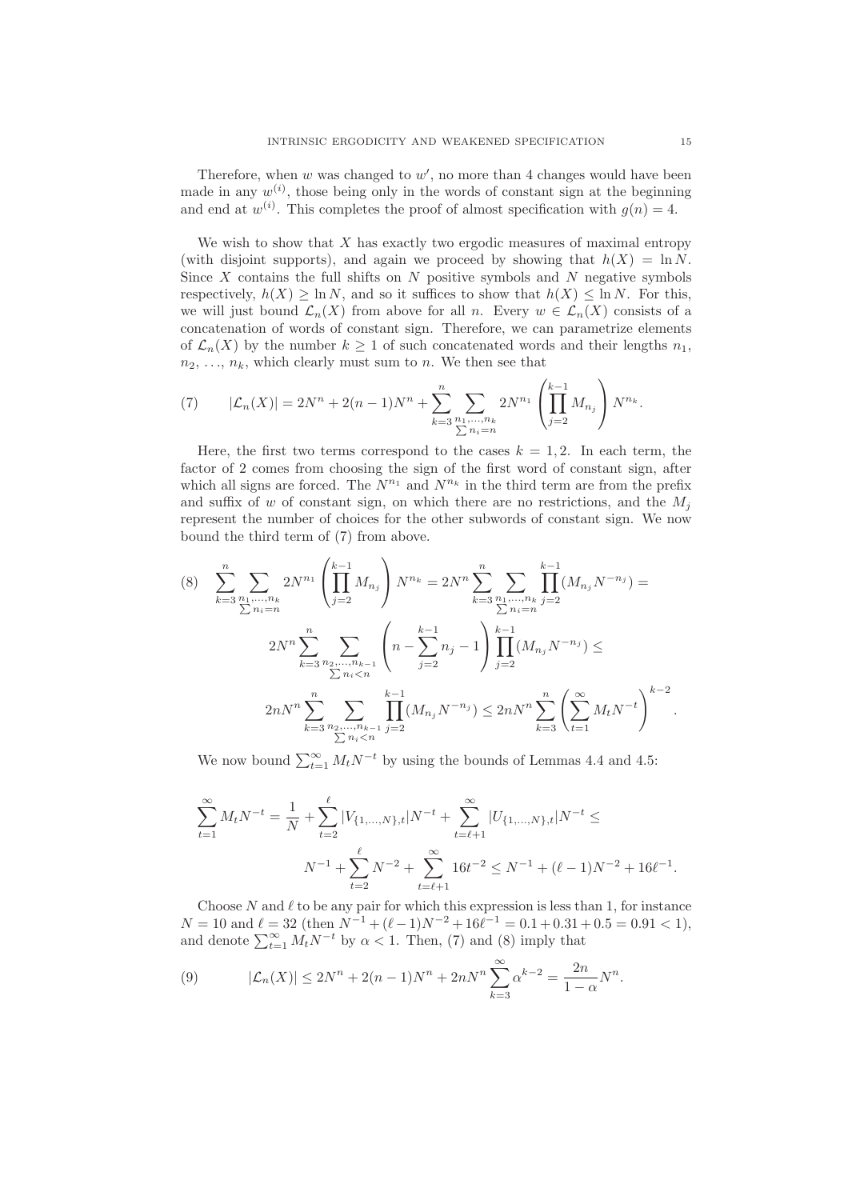Therefore, when  $w$  was changed to  $w'$ , no more than 4 changes would have been made in any  $w^{(i)}$ , those being only in the words of constant sign at the beginning and end at  $w^{(i)}$ . This completes the proof of almost specification with  $g(n) = 4$ .

We wish to show that  $X$  has exactly two ergodic measures of maximal entropy (with disjoint supports), and again we proceed by showing that  $h(X) = \ln N$ . Since  $X$  contains the full shifts on  $N$  positive symbols and  $N$  negative symbols respectively,  $h(X) \geq \ln N$ , and so it suffices to show that  $h(X) \leq \ln N$ . For this, we will just bound  $\mathcal{L}_n(X)$  from above for all n. Every  $w \in \mathcal{L}_n(X)$  consists of a concatenation of words of constant sign. Therefore, we can parametrize elements of  $\mathcal{L}_n(X)$  by the number  $k \geq 1$  of such concatenated words and their lengths  $n_1$ ,  $n_2, \ldots, n_k$ , which clearly must sum to n. We then see that

(7) 
$$
|\mathcal{L}_n(X)| = 2N^n + 2(n-1)N^n + \sum_{k=3}^n \sum_{\substack{n_1,\ldots,n_k\\ \sum n_i=n}} 2N^{n_1} \left(\prod_{j=2}^{k-1} M_{n_j}\right) N^{n_k}.
$$

Here, the first two terms correspond to the cases  $k = 1, 2$ . In each term, the factor of 2 comes from choosing the sign of the first word of constant sign, after which all signs are forced. The  $N^{n_1}$  and  $N^{n_k}$  in the third term are from the prefix and suffix of w of constant sign, on which there are no restrictions, and the  $M_i$ represent the number of choices for the other subwords of constant sign. We now bound the third term of (7) from above.

$$
(8) \sum_{k=3}^{n} \sum_{\substack{n_1,\dots,n_k \\ \sum n_i=n}} 2N^{n_1} \left(\prod_{j=2}^{k-1} M_{n_j}\right) N^{n_k} = 2N^n \sum_{k=3}^{n} \sum_{\substack{n_1,\dots,n_k \\ \sum n_i=n}} \prod_{j=2}^{k-1} (M_{n_j} N^{-n_j}) =
$$
  

$$
2N^n \sum_{k=3}^{n} \sum_{\substack{n_2,\dots,n_{k-1} \\ \sum n_i  

$$
2nN^n \sum_{k=3}^{n} \sum_{\substack{n_2,\dots,n_{k-1} \\ \sum n_i
$$
$$

We now bound  $\sum_{t=1}^{\infty} M_t N^{-t}$  by using the bounds of Lemmas 4.4 and 4.5:

$$
\sum_{t=1}^{\infty} M_t N^{-t} = \frac{1}{N} + \sum_{t=2}^{\ell} |V_{\{1,\dots,N\},t}| N^{-t} + \sum_{t=\ell+1}^{\infty} |U_{\{1,\dots,N\},t}| N^{-t} \le
$$
  

$$
N^{-1} + \sum_{t=2}^{\ell} N^{-2} + \sum_{t=\ell+1}^{\infty} 16t^{-2} \le N^{-1} + (\ell - 1)N^{-2} + 16\ell^{-1}.
$$

Choose  $N$  and  $\ell$  to be any pair for which this expression is less than 1, for instance  $N = 10$  and  $\ell = 32$  (then  $N^{-1} + (\ell - 1)N^{-2} + 16\ell^{-1} = 0.1 + 0.31 + 0.5 = 0.91 < 1$ ), and denote  $\sum_{t=1}^{\infty} M_t N^{-t}$  by  $\alpha < 1$ . Then, (7) and (8) imply that

(9) 
$$
|\mathcal{L}_n(X)| \le 2N^n + 2(n-1)N^n + 2nN^n \sum_{k=3}^{\infty} \alpha^{k-2} = \frac{2n}{1-\alpha}N^n.
$$

.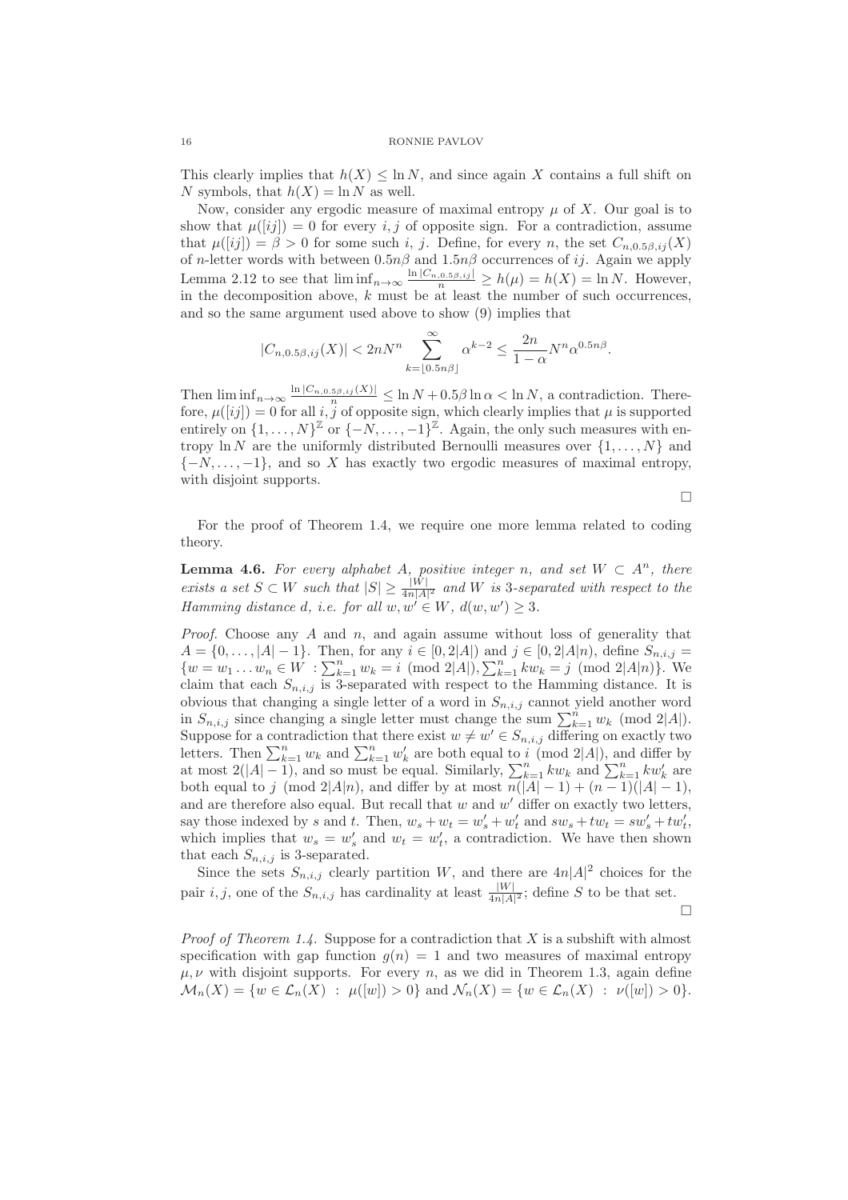This clearly implies that  $h(X) \leq \ln N$ , and since again X contains a full shift on N symbols, that  $h(X) = \ln N$  as well.

Now, consider any ergodic measure of maximal entropy  $\mu$  of X. Our goal is to show that  $\mu([ij]) = 0$  for every i, j of opposite sign. For a contradiction, assume that  $\mu([ij]) = \beta > 0$  for some such i, j. Define, for every n, the set  $C_{n,0.5\beta,i}(X)$ of n-letter words with between  $0.5n\beta$  and  $1.5n\beta$  occurrences of ij. Again we apply Lemma 2.12 to see that  $\liminf_{n\to\infty} \frac{\ln |C_{n,0.5\beta,ij}|}{n} \ge h(\mu) = h(X) = \ln N$ . However, in the decomposition above,  $k$  must be at least the number of such occurrences. and so the same argument used above to show (9) implies that

$$
|C_{n,0.5\beta,ij}(X)| < 2nN^{n} \sum_{k=\lfloor 0.5n\beta \rfloor}^{\infty} \alpha^{k-2} \le \frac{2n}{1-\alpha} N^{n} \alpha^{0.5n\beta}.
$$

Then  $\liminf_{n\to\infty} \frac{\ln |C_{n,0.5\beta,ij}(X)|}{n} \leq \ln N + 0.5\beta \ln \alpha < \ln N$ , a contradiction. Therefore,  $\mu([ij]) = 0$  for all i, j of opposite sign, which clearly implies that  $\mu$  is supported entirely on  $\{1,\ldots,N\}^{\mathbb{Z}}$  or  $\{-N,\ldots,-1\}^{\mathbb{Z}}$ . Again, the only such measures with entropy  $\ln N$  are the uniformly distributed Bernoulli measures over  $\{1, \ldots, N\}$  and  ${-N, \ldots, -1}$ , and so X has exactly two ergodic measures of maximal entropy, with disjoint supports.

$$
\Box
$$

For the proof of Theorem 1.4, we require one more lemma related to coding theory.

**Lemma 4.6.** For every alphabet A, positive integer n, and set  $W \subset A^n$ , there exists a set  $S \subset W$  such that  $|S| \geq \frac{|W|}{4n|A|^2}$  and W is 3-separated with respect to the Hamming distance d, i.e. for all  $w, w' \in W$ ,  $d(w, w') \geq 3$ .

*Proof.* Choose any  $A$  and  $n$ , and again assume without loss of generality that  $A = \{0, \ldots, |A| - 1\}$ . Then, for any  $i \in [0, 2|A|)$  and  $j \in [0, 2|A|n)$ , define  $S_{n,i,j} =$  $\{w = w_1 \dots w_n \in W : \sum_{k=1}^n w_k = i \pmod{2|A|}, \sum_{k=1}^n kw_k = j \pmod{2|A|n}\}.$  We claim that each  $S_{n,i,j}$  is 3-separated with respect to the Hamming distance. It is obvious that changing a single letter of a word in  $S_{n,i,j}$  cannot yield another word in  $S_{n,i,j}$  since changing a single letter must change the sum  $\sum_{k=1}^{n} w_k \pmod{2|A|}$ . Suppose for a contradiction that there exist  $w \neq w' \in S_{n,i,j}$  differing on exactly two letters. Then  $\sum_{k=1}^n w_k$  and  $\sum_{k=1}^n w'_k$  are both equal to i (mod 2|A|), and differ by at most  $2(|A|-1)$ , and so must be equal. Similarly,  $\sum_{k=1}^{n} kw_k$  and  $\sum_{k=1}^{n} kw'_k$  are both equal to j (mod 2|A|n), and differ by at most  $n(|A|-1) + (n-1)(|A|-1)$ , and are therefore also equal. But recall that  $w$  and  $w'$  differ on exactly two letters, say those indexed by s and t. Then,  $w_s + w_t = w'_s + w'_t$  and  $sw_s + tw_t = sw'_s + tw'_t$ , which implies that  $w_s = w'_s$  and  $w_t = w'_t$ , a contradiction. We have then shown that each  $S_{n,i,j}$  is 3-separated.

Since the sets  $S_{n,i,j}$  clearly partition W, and there are  $4n|A|^2$  choices for the pair *i*, *j*, one of the  $S_{n,i,j}$  has cardinality at least  $\frac{|W|}{4n|A|^2}$ ; define *S* to be that set.

 $\Box$ 

*Proof of Theorem 1.4.* Suppose for a contradiction that X is a subshift with almost specification with gap function  $g(n) = 1$  and two measures of maximal entropy  $\mu, \nu$  with disjoint supports. For every n, as we did in Theorem 1.3, again define  $\mathcal{M}_n(X) = \{ w \in \mathcal{L}_n(X) : \mu([w]) > 0 \}$  and  $\mathcal{N}_n(X) = \{ w \in \mathcal{L}_n(X) : \nu([w]) > 0 \}.$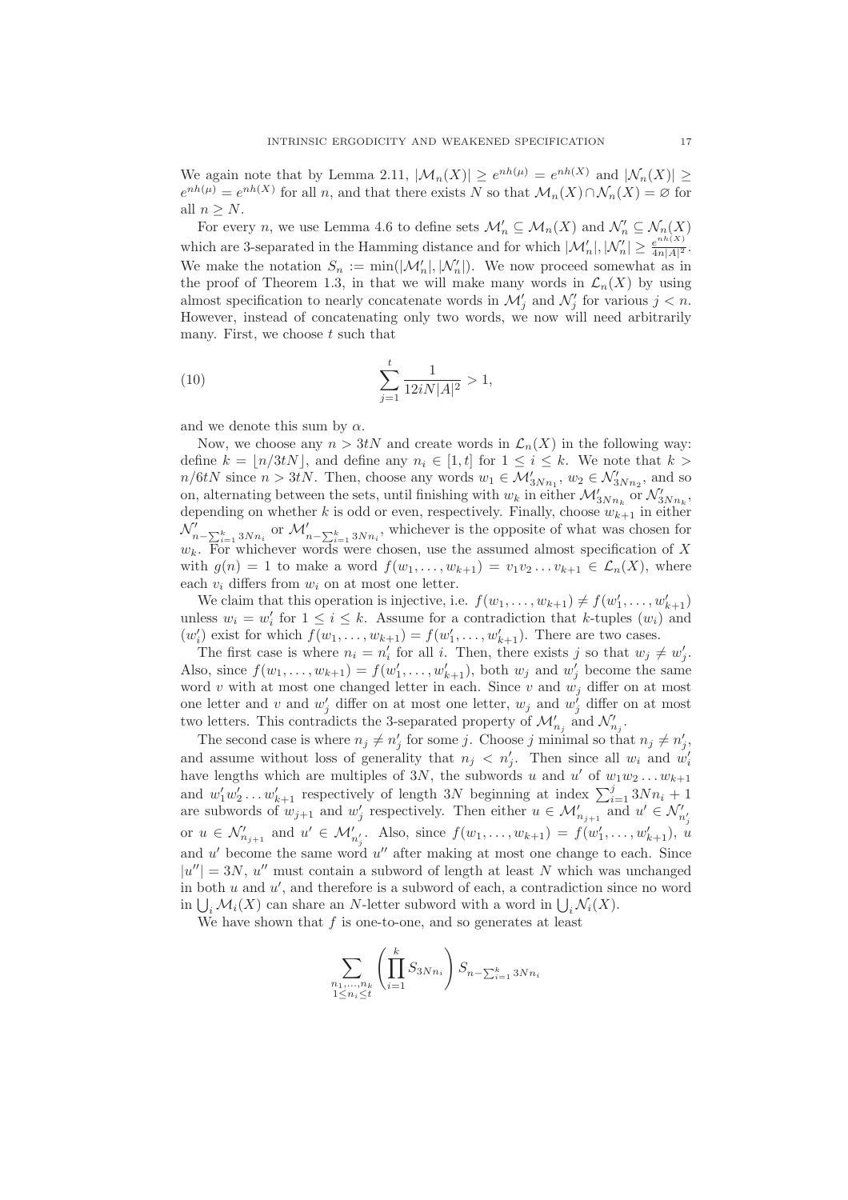We again note that by Lemma 2.11,  $|\mathcal{M}_n(X)| \geq e^{nh(\mu)} = e^{nh(X)}$  and  $|\mathcal{N}_n(X)| \geq$  $e^{nh(\mu)} = e^{nh(X)}$  for all n, and that there exists N so that  $\mathcal{M}_n(X) \cap \mathcal{N}_n(X) = \emptyset$  for all  $n > N$ .

For every *n*, we use Lemma 4.6 to define sets  $\mathcal{M}'_n \subseteq \mathcal{M}_n(X)$  and  $\mathcal{N}'_n \subseteq \mathcal{N}_n(X)$ which are 3-separated in the Hamming distance and for which  $|\mathcal{M}'_n|, |\mathcal{N}'_n| \geq \frac{e^{nh(X)}}{4n|A|^2}$  $\frac{e^{i n n (1)}}{4n|A|^2}$ . We make the notation  $S_n := \min(|\mathcal{M}'_n|, |\mathcal{N}'_n|)$ . We now proceed somewhat as in the proof of Theorem 1.3, in that we will make many words in  $\mathcal{L}_n(X)$  by using almost specification to nearly concatenate words in  $\mathcal{M}'_j$  and  $\mathcal{N}'_j$  for various  $j < n$ . However, instead of concatenating only two words, we now will need arbitrarily many. First, we choose  $t$  such that

(10) 
$$
\sum_{j=1}^{t} \frac{1}{12iN|A|^2} > 1,
$$

and we denote this sum by  $\alpha$ .

Now, we choose any  $n > 3tN$  and create words in  $\mathcal{L}_n(X)$  in the following way: define  $k = \lfloor n/3tN \rfloor$ , and define any  $n_i \in [1, t]$  for  $1 \le i \le k$ . We note that  $k >$  $n/6tN$  since  $n > 3tN$ . Then, choose any words  $w_1 \in \mathcal{M}'_{3Nn_1}$ ,  $w_2 \in \mathcal{N}'_{3Nn_2}$ , and so on, alternating between the sets, until finishing with  $w_k$  in either  $\mathcal{M}_{3Nn_k}'$  or  $\mathcal{N}_{3Nn_k}'$ , depending on whether k is odd or even, respectively. Finally, choose  $w_{k+1}$  in either  $\mathcal{N}'_{n-\sum_{i=1}^k 3Nn_i}$  or  $\mathcal{M}'_{n-\sum_{i=1}^k 3Nn_i}$ , whichever is the opposite of what was chosen for  $w_k$ . For whichever words were chosen, use the assumed almost specification of X with  $g(n) = 1$  to make a word  $f(w_1, \ldots, w_{k+1}) = v_1v_2\ldots v_{k+1} \in \mathcal{L}_n(X)$ , where each  $v_i$  differs from  $w_i$  on at most one letter.

We claim that this operation is injective, i.e.  $f(w_1, \ldots, w_{k+1}) \neq f(w'_1, \ldots, w'_{k+1})$ unless  $w_i = w'_i$  for  $1 \leq i \leq k$ . Assume for a contradiction that k-tuples  $(w_i)$  and  $(w'_i)$  exist for which  $f(w_1, \ldots, w_{k+1}) = f(w'_1, \ldots, w'_{k+1})$ . There are two cases.

The first case is where  $n_i = n'_i$  for all i. Then, there exists j so that  $w_j \neq w'_j$ . Also, since  $f(w_1, \ldots, w_{k+1}) = f(w'_1, \ldots, w'_{k+1})$ , both  $w_j$  and  $w'_j$  become the same word v with at most one changed letter in each. Since v and  $w_j$  differ on at most one letter and  $v$  and  $w'_j$  differ on at most one letter,  $w_j$  and  $w'_j$  differ on at most two letters. This contradicts the 3-separated property of  $\mathcal{M}'_{n_j}$  and  $\mathcal{N}'_{n_j}$ .

The second case is where  $n_j \neq n'_j$  for some j. Choose j minimal so that  $n_j \neq n'_j$ , and assume without loss of generality that  $n_j < n'_j$ . Then since all  $w_i$  and  $w'_i$ have lengths which are multiples of 3N, the subwords u and u' of  $w_1w_2 \ldots w_{k+1}$ and  $w'_1w'_2 \ldots w'_{k+1}$  respectively of length 3N beginning at index  $\sum_{i=1}^{j} 3Nn_i + 1$ are subwords of  $w_{j+1}$  and  $w'_j$  respectively. Then either  $u \in \mathcal{M}'_{n_{j+1}}$  and  $u' \in \mathcal{N}'_{n'_j}$ or  $u \in \mathcal{N}'_{n_{j+1}}$  and  $u' \in \mathcal{M}'_{n'_j}$ . Also, since  $f(w_1, ..., w_{k+1}) = f(w'_1, ..., w'_{k+1}), u'_{n'_j}$ and  $u'$  become the same word  $u''$  after making at most one change to each. Since  $|u''| = 3N$ , u'' must contain a subword of length at least N which was unchanged in both  $u$  and  $u'$ , and therefore is a subword of each, a contradiction since no word in  $\bigcup_i \mathcal{M}_i(X)$  can share an N-letter subword with a word in  $\bigcup_i \mathcal{N}_i(X)$ .

We have shown that  $f$  is one-to-one, and so generates at least

$$
\sum_{\substack{n_1,\ldots,n_k\\1\le n_i\le t}} \left(\prod_{i=1}^k S_{3Nn_i}\right) S_{n-\sum_{i=1}^k 3Nn_i}
$$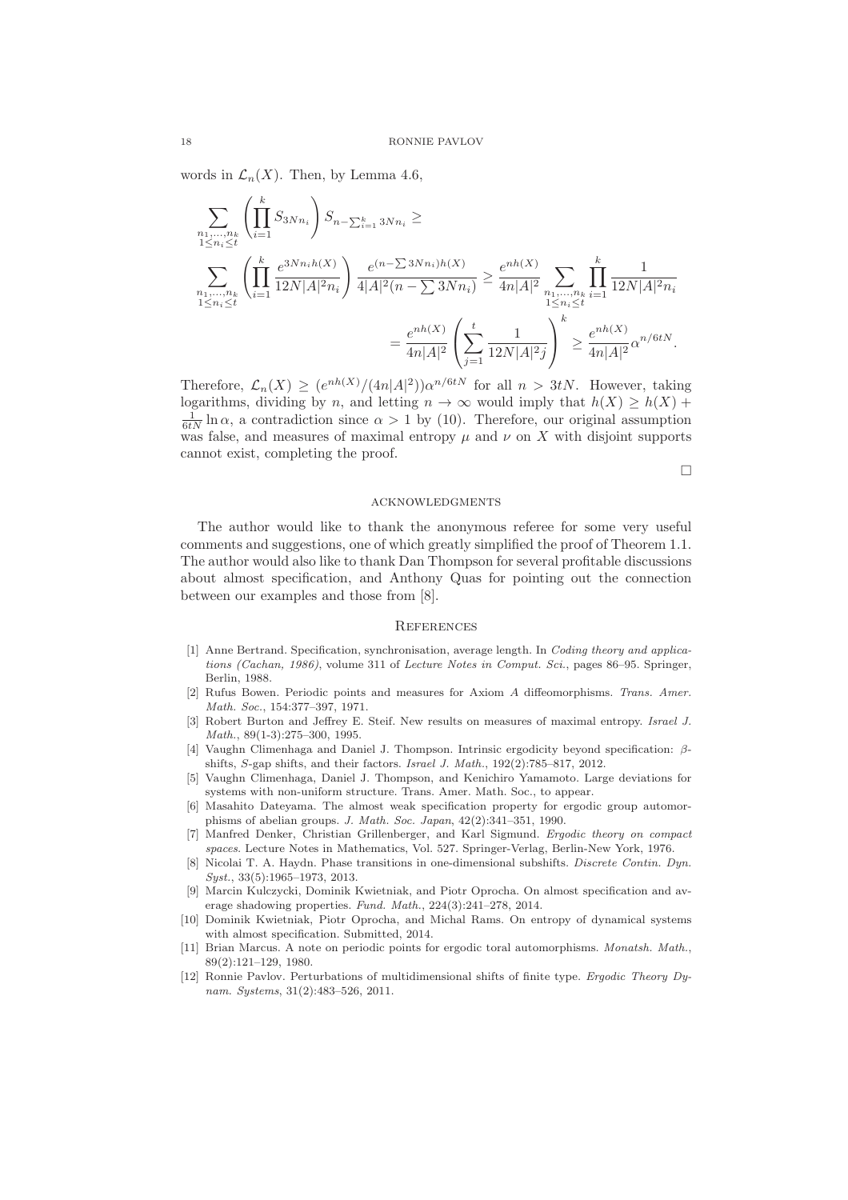words in  $\mathcal{L}_n(X)$ . Then, by Lemma 4.6,

$$
\sum_{\substack{n_1,\ldots,n_k \\ 1 \le n_i \le t}} \left( \prod_{i=1}^k S_{3Nn_i} \right) S_{n-\sum_{i=1}^k 3Nn_i} \ge
$$
\n
$$
\sum_{\substack{n_1,\ldots,n_k \\ 1 \le n_i \le t}} \left( \prod_{i=1}^k \frac{e^{3Nn_i h(X)}}{12N|A|^2 n_i} \right) \frac{e^{(n-\sum 3Nn_i)h(X)}}{4|A|^2 (n-\sum 3Nn_i)} \ge \frac{e^{nh(X)}}{4n|A|^2} \sum_{\substack{n_1,\ldots,n_k \\ 1 \le n_i \le t}} \prod_{i=1}^k \frac{1}{12N|A|^2 n_i}
$$
\n
$$
= \frac{e^{nh(X)}}{4n|A|^2} \left( \sum_{j=1}^t \frac{1}{12N|A|^2 j} \right)^k \ge \frac{e^{nh(X)}}{4n|A|^2} \alpha^{n/6tN}.
$$

Therefore,  $\mathcal{L}_n(X) \geq (e^{nh(X)}/(4n|A|^2))\alpha^{n/6tN}$  for all  $n > 3tN$ . However, taking logarithms, dividing by n, and letting  $n \to \infty$  would imply that  $h(X) \ge h(X) +$  $\frac{1}{6tN} \ln \alpha$ , a contradiction since  $\alpha > 1$  by (10). Therefore, our original assumption was false, and measures of maximal entropy  $\mu$  and  $\nu$  on X with disjoint supports cannot exist, completing the proof.

 $\Box$ 

#### **ACKNOWLEDGMENTS**

The author would like to thank the anonymous referee for some very useful comments and suggestions, one of which greatly simplified the proof of Theorem 1.1. The author would also like to thank Dan Thompson for several profitable discussions about almost specification, and Anthony Quas for pointing out the connection between our examples and those from [8].

#### **REFERENCES**

- [1] Anne Bertrand. Specification, synchronisation, average length. In Coding theory and applications (Cachan, 1986), volume 311 of Lecture Notes in Comput. Sci., pages 86–95. Springer, Berlin, 1988.
- [2] Rufus Bowen. Periodic points and measures for Axiom A diffeomorphisms. Trans. Amer. Math. Soc., 154:377–397, 1971.
- [3] Robert Burton and Jeffrey E. Steif. New results on measures of maximal entropy. *Israel J.* Math., 89(1-3):275–300, 1995.
- [4] Vaughn Climenhaga and Daniel J. Thompson. Intrinsic ergodicity beyond specification: βshifts, S-gap shifts, and their factors. Israel J. Math., 192(2):785–817, 2012.
- [5] Vaughn Climenhaga, Daniel J. Thompson, and Kenichiro Yamamoto. Large deviations for systems with non-uniform structure. Trans. Amer. Math. Soc., to appear.
- [6] Masahito Dateyama. The almost weak specification property for ergodic group automorphisms of abelian groups. J. Math. Soc. Japan, 42(2):341–351, 1990.
- [7] Manfred Denker, Christian Grillenberger, and Karl Sigmund. Ergodic theory on compact spaces. Lecture Notes in Mathematics, Vol. 527. Springer-Verlag, Berlin-New York, 1976.
- [8] Nicolai T. A. Haydn. Phase transitions in one-dimensional subshifts. Discrete Contin. Dyn. Syst., 33(5):1965–1973, 2013.
- [9] Marcin Kulczycki, Dominik Kwietniak, and Piotr Oprocha. On almost specification and average shadowing properties. Fund. Math., 224(3):241–278, 2014.
- [10] Dominik Kwietniak, Piotr Oprocha, and Michal Rams. On entropy of dynamical systems with almost specification. Submitted, 2014.
- [11] Brian Marcus. A note on periodic points for ergodic toral automorphisms. Monatsh. Math., 89(2):121–129, 1980.
- [12] Ronnie Pavlov. Perturbations of multidimensional shifts of finite type. Ergodic Theory Dynam. Systems, 31(2):483–526, 2011.